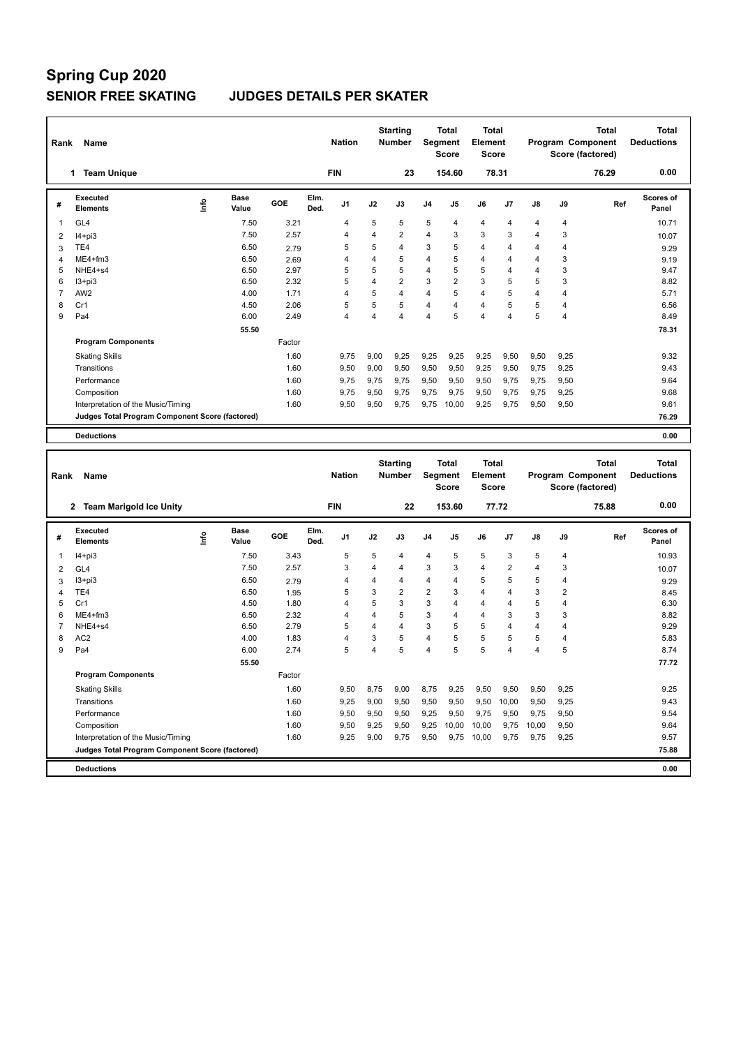#### **SENIOR FREE SKATING JUDGES DETAILS PER SKATER**

| Rank           | Name                                            |                              |        |              | <b>Nation</b> |                         | <b>Starting</b><br><b>Number</b> |      | <b>Total</b><br><b>Segment</b><br><b>Score</b> | <b>Total</b><br>Element<br>Score        |                         |               |                | <b>Total</b><br>Program Component<br>Score (factored) | <b>Total</b><br><b>Deductions</b> |
|----------------|-------------------------------------------------|------------------------------|--------|--------------|---------------|-------------------------|----------------------------------|------|------------------------------------------------|-----------------------------------------|-------------------------|---------------|----------------|-------------------------------------------------------|-----------------------------------|
|                | <b>Team Unique</b><br>1                         |                              |        |              | <b>FIN</b>    |                         | 23                               |      | 154.60                                         |                                         | 78.31                   |               |                | 76.29                                                 | 0.00                              |
| #              | Executed<br><b>Elements</b>                     | <b>Base</b><br>١nfo<br>Value | GOE    | Elm.<br>Ded. | J1            | J2                      | J3                               | J4   | J <sub>5</sub>                                 | J6                                      | J7                      | $\mathsf{J}8$ | J9             | Ref                                                   | <b>Scores of</b><br>Panel         |
| $\mathbf{1}$   | GL <sub>4</sub>                                 | 7.50                         | 3.21   |              | 4             | 5                       | 5                                | 5    | $\overline{4}$                                 | $\overline{4}$                          | 4                       | 4             | 4              |                                                       | 10.71                             |
| $\overline{2}$ | $I4 + pi3$                                      | 7.50                         | 2.57   |              | 4             | $\overline{\mathbf{4}}$ | $\overline{2}$                   | 4    | 3                                              | 3                                       | 3                       | 4             | 3              |                                                       | 10.07                             |
| 3              | TE <sub>4</sub>                                 | 6.50                         | 2.79   |              | 5             | 5                       | $\overline{4}$                   | 3    | 5                                              | $\overline{4}$                          | 4                       | 4             | 4              |                                                       | 9.29                              |
| Δ              | $ME4 + fm3$                                     | 6.50                         | 2.69   |              | 4             | 4                       | 5                                | 4    | 5                                              | $\overline{4}$                          | 4                       | 4             | 3              |                                                       | 9.19                              |
| 5              | NHE4+s4                                         | 6.50                         | 2.97   |              | 5             | 5                       | 5                                | 4    | 5                                              | 5                                       | 4                       | 4             | 3              |                                                       | 9.47                              |
| 6              | $13 + pi3$                                      | 6.50                         | 2.32   |              | 5             | 4                       | $\overline{2}$                   | 3    | $\overline{2}$                                 | 3                                       | 5                       | 5             | 3              |                                                       | 8.82                              |
| $\overline{7}$ | AW <sub>2</sub>                                 | 4.00                         | 1.71   |              | 4             | 5                       | $\overline{4}$                   | 4    | 5                                              | $\overline{4}$                          | 5                       | 4             | $\overline{4}$ |                                                       | 5.71                              |
| 8              | Cr1                                             | 4.50                         | 2.06   |              | 5             | 5                       | 5                                | 4    | 4                                              | $\overline{4}$                          | 5                       | 5             | 4              |                                                       | 6.56                              |
| 9              | Pa4                                             | 6.00                         | 2.49   |              | 4             | $\overline{\mathbf{4}}$ | $\overline{4}$                   | 4    | 5                                              | $\overline{4}$                          | $\overline{\mathbf{A}}$ | 5             | $\overline{4}$ |                                                       | 8.49                              |
|                |                                                 | 55.50                        |        |              |               |                         |                                  |      |                                                |                                         |                         |               |                |                                                       | 78.31                             |
|                | <b>Program Components</b>                       |                              | Factor |              |               |                         |                                  |      |                                                |                                         |                         |               |                |                                                       |                                   |
|                | <b>Skating Skills</b>                           |                              | 1.60   |              | 9.75          | 9,00                    | 9,25                             | 9,25 | 9,25                                           | 9,25                                    | 9,50                    | 9,50          | 9,25           |                                                       | 9.32                              |
|                | Transitions                                     |                              | 1.60   |              | 9,50          | 9,00                    | 9,50                             | 9,50 | 9,50                                           | 9,25                                    | 9,50                    | 9,75          | 9,25           |                                                       | 9.43                              |
|                | Performance                                     |                              | 1.60   |              | 9,75          | 9,75                    | 9,75                             | 9,50 | 9,50                                           | 9,50                                    | 9,75                    | 9,75          | 9,50           |                                                       | 9.64                              |
|                | Composition                                     |                              | 1.60   |              | 9,75          | 9,50                    | 9,75                             | 9,75 | 9,75                                           | 9,50                                    | 9,75                    | 9,75          | 9,25           |                                                       | 9.68                              |
|                | Interpretation of the Music/Timing              |                              | 1.60   |              | 9,50          | 9,50                    | 9,75                             | 9,75 | 10,00                                          | 9,25                                    | 9,75                    | 9,50          | 9,50           |                                                       | 9.61                              |
|                | Judges Total Program Component Score (factored) |                              |        |              |               |                         |                                  |      |                                                |                                         |                         |               |                |                                                       | 76.29                             |
|                |                                                 |                              |        |              |               |                         |                                  |      |                                                |                                         |                         |               |                |                                                       |                                   |
|                | <b>Deductions</b>                               |                              |        |              |               |                         |                                  |      |                                                |                                         |                         |               |                |                                                       | 0.00                              |
| Rank           | Name                                            |                              |        |              | <b>Nation</b> |                         | <b>Starting</b><br><b>Number</b> |      | <b>Total</b><br>Segment<br><b>Score</b>        | <b>Total</b><br>Element<br><b>Score</b> |                         |               |                | <b>Total</b><br>Program Component<br>Score (factored) | <b>Total</b><br><b>Deductions</b> |
|                | 2 Team Marigold Ice Unity                       |                              |        |              | <b>FIN</b>    |                         | 22                               |      | 153.60                                         |                                         | 77.72                   |               |                | 75.88                                                 | 0.00                              |
| #              | <b>Executed</b><br><b>Elements</b>              | <b>Base</b><br>١nf٥<br>Value | GOE    | Elm.<br>Ded. | J1            | J2                      | J3                               | J4   | J5                                             | J6                                      | J7                      | J8            | J9             | Ref                                                   | <b>Scores of</b><br>Panel         |
| 1              | $I4 + pi3$                                      | 7.50                         | 3.43   |              | 5             | 5                       | $\overline{4}$                   | 4    | 5                                              | 5                                       | 3                       | 5             | 4              |                                                       | 10.93                             |
| 2              | GL <sub>4</sub>                                 | 7.50                         | 2.57   |              | 3             | 4                       | $\overline{4}$                   | 3    | 3                                              | $\overline{4}$                          | $\overline{2}$          | 4             | 3              |                                                       | 10.07                             |
| 3              | $13 + pi3$                                      | 6.50                         | 2.79   |              | 4             | 4                       | $\overline{4}$                   | 4    | 4                                              | 5                                       | 5                       | 5             | $\overline{4}$ |                                                       | 9.29                              |
|                | TF4                                             | 6.50                         | 1.05   |              | 5             | 3                       | $\mathfrak{p}$                   | 2    | 3                                              | $\overline{4}$                          | 4                       | 3             | $\mathfrak{p}$ |                                                       | 9.15                              |

**Deductions 0.00 Judges Total Program Component Score (factored) 75.88**

|   | <b>Executed</b><br><b>Elements</b> | ۴ | Base<br>Value | GOE    | Elm.<br>Ded. | J <sub>1</sub> | J2   | J3             | J <sub>4</sub> | J <sub>5</sub> | J6    | J <sub>7</sub> | J8    | J9   | Ref | <b>Scores of</b><br>Panel |
|---|------------------------------------|---|---------------|--------|--------------|----------------|------|----------------|----------------|----------------|-------|----------------|-------|------|-----|---------------------------|
|   | $I4 + pi3$                         |   | 7.50          | 3.43   |              | 5              | 5    | 4              | $\overline{4}$ | 5              | 5     | 3              | 5     | 4    |     | 10.93                     |
| 2 | GL4                                |   | 7.50          | 2.57   |              | 3              | 4    | 4              | 3              | 3              | 4     | $\overline{2}$ | 4     | 3    |     | 10.07                     |
| 3 | $13 + pi3$                         |   | 6.50          | 2.79   |              | 4              | 4    | 4              | 4              | 4              | 5     | 5              | 5     | 4    |     | 9.29                      |
|   | TE4                                |   | 6.50          | 1.95   |              | 5              | 3    | $\overline{2}$ | $\overline{2}$ | 3              | 4     | 4              | 3     | 2    |     | 8.45                      |
| 5 | Cr1                                |   | 4.50          | 1.80   |              | 4              | 5    | 3              | 3              | 4              | 4     | 4              | 5     | 4    |     | 6.30                      |
| 6 | $ME4 + fm3$                        |   | 6.50          | 2.32   |              | 4              | 4    | 5              | 3              | 4              | 4     | 3              | 3     | 3    |     | 8.82                      |
|   | NHE4+s4                            |   | 6.50          | 2.79   |              | 5              | 4    | $\overline{4}$ | 3              | 5              | 5     | 4              | 4     | 4    |     | 9.29                      |
| 8 | AC <sub>2</sub>                    |   | 4.00          | 1.83   |              | 4              | 3    | 5              | $\overline{4}$ | 5              | 5     | 5              | 5     | 4    |     | 5.83                      |
| 9 | Pa4                                |   | 6.00          | 2.74   |              | 5              | 4    | 5              | 4              | 5              | 5     | 4              | 4     | 5    |     | 8.74                      |
|   |                                    |   | 55.50         |        |              |                |      |                |                |                |       |                |       |      |     | 77.72                     |
|   | <b>Program Components</b>          |   |               | Factor |              |                |      |                |                |                |       |                |       |      |     |                           |
|   | <b>Skating Skills</b>              |   |               | 1.60   |              | 9,50           | 8,75 | 9,00           | 8,75           | 9,25           | 9,50  | 9,50           | 9,50  | 9,25 |     | 9.25                      |
|   | Transitions                        |   |               | 1.60   |              | 9,25           | 9,00 | 9,50           | 9,50           | 9,50           | 9,50  | 10,00          | 9,50  | 9,25 |     | 9.43                      |
|   | Performance                        |   |               | 1.60   |              | 9,50           | 9,50 | 9,50           | 9,25           | 9,50           | 9,75  | 9,50           | 9,75  | 9,50 |     | 9.54                      |
|   | Composition                        |   |               | 1.60   |              | 9,50           | 9,25 | 9,50           | 9,25           | 10,00          | 10,00 | 9,75           | 10,00 | 9,50 |     | 9.64                      |
|   | Interpretation of the Music/Timing |   |               | 1.60   |              | 9,25           | 9,00 | 9,75           | 9,50           | 9,75           | 10,00 | 9,75           | 9,75  | 9,25 |     | 9.57                      |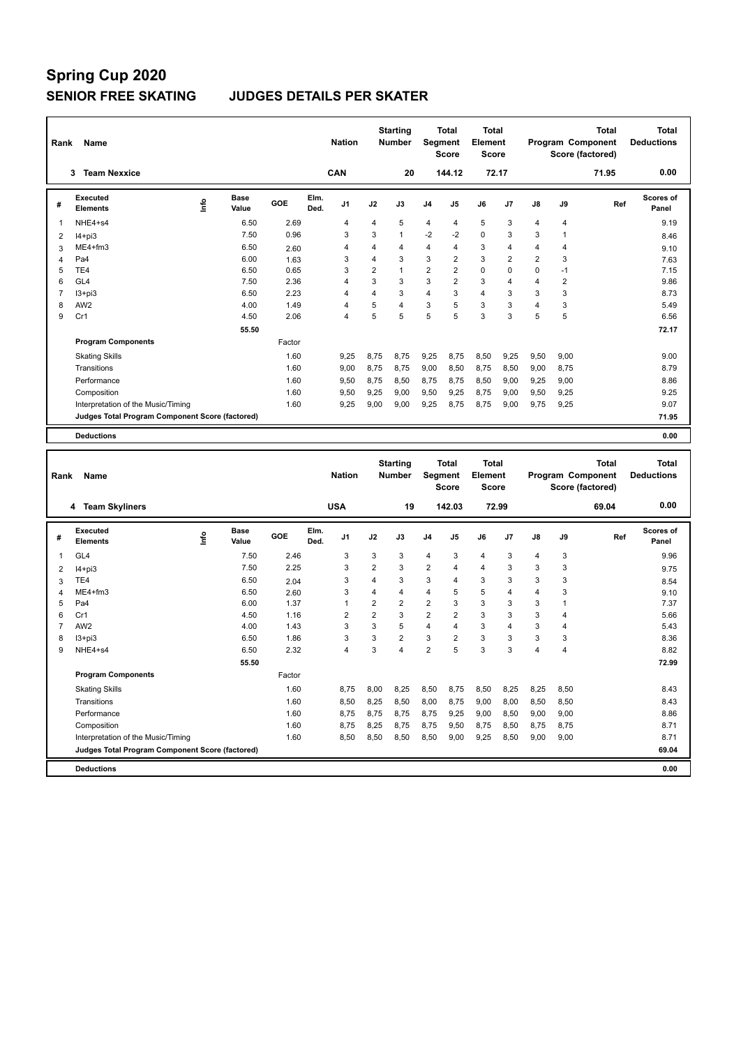**Program Components** 

#### **SENIOR FREE SKATING JUDGES DETAILS PER SKATER**

| Rank           | Name                                            |      |                      |        |              | <b>Nation</b>  |                | <b>Starting</b><br><b>Number</b> |                | <b>Total</b><br>Segment<br><b>Score</b> | Total<br>Element<br><b>Score</b>        |                |                |                | <b>Total</b><br>Program Component<br>Score (factored) | <b>Total</b><br><b>Deductions</b> |
|----------------|-------------------------------------------------|------|----------------------|--------|--------------|----------------|----------------|----------------------------------|----------------|-----------------------------------------|-----------------------------------------|----------------|----------------|----------------|-------------------------------------------------------|-----------------------------------|
|                | 3 Team Nexxice                                  |      |                      |        |              | CAN            |                | 20                               |                | 144.12                                  |                                         | 72.17          |                |                | 71.95                                                 | 0.00                              |
| #              | Executed<br><b>Elements</b>                     | lnfo | <b>Base</b><br>Value | GOE    | Elm.<br>Ded. | J1             | J2             | J3                               | J <sub>4</sub> | J5                                      | J6                                      | J7             | J8             | J9             | Ref                                                   | <b>Scores of</b><br>Panel         |
| 1              | NHE4+s4                                         |      | 6.50                 | 2.69   |              | $\overline{4}$ | 4              | 5                                | 4              | 4                                       | 5                                       | 3              | 4              | 4              |                                                       | 9.19                              |
| 2              | $I4 + pi3$                                      |      | 7.50                 | 0.96   |              | 3              | 3              | $\mathbf{1}$                     | $-2$           | $-2$                                    | $\mathbf 0$                             | 3              | 3              | $\mathbf{1}$   |                                                       | 8.46                              |
| 3              | ME4+fm3                                         |      | 6.50                 | 2.60   |              | $\overline{4}$ | $\overline{4}$ | $\overline{4}$                   | $\overline{4}$ | 4                                       | 3                                       | 4              | 4              | 4              |                                                       | 9.10                              |
| 4              | Pa <sub>4</sub>                                 |      | 6.00                 | 1.63   |              | 3              | $\overline{4}$ | 3                                | 3              | $\overline{2}$                          | 3                                       | $\overline{2}$ | $\overline{2}$ | 3              |                                                       | 7.63                              |
| 5              | TE4                                             |      | 6.50                 | 0.65   |              | 3              | $\overline{2}$ | $\overline{1}$                   | $\overline{2}$ | $\overline{2}$                          | $\mathbf 0$                             | 0              | 0              | $-1$           |                                                       | 7.15                              |
| 6              | GL <sub>4</sub>                                 |      | 7.50                 | 2.36   |              | $\overline{4}$ | 3              | 3                                | 3              | $\overline{2}$                          | 3                                       | 4              | 4              | $\overline{2}$ |                                                       | 9.86                              |
| $\overline{7}$ | $13 + pi3$                                      |      | 6.50                 | 2.23   |              | $\overline{4}$ | $\overline{4}$ | 3                                | $\overline{4}$ | 3                                       | $\overline{4}$                          | 3              | 3              | 3              |                                                       | 8.73                              |
| 8              | AW <sub>2</sub>                                 |      | 4.00                 | 1.49   |              | $\overline{4}$ | 5              | $\overline{4}$                   | 3              | 5                                       | 3                                       | 3              | 4              | 3              |                                                       | 5.49                              |
| 9              | Cr1                                             |      | 4.50                 | 2.06   |              | $\overline{4}$ | 5              | 5                                | 5              | 5                                       | 3                                       | 3              | 5              | 5              |                                                       | 6.56                              |
|                |                                                 |      | 55.50                |        |              |                |                |                                  |                |                                         |                                         |                |                |                |                                                       | 72.17                             |
|                | <b>Program Components</b>                       |      |                      | Factor |              |                |                |                                  |                |                                         |                                         |                |                |                |                                                       |                                   |
|                | <b>Skating Skills</b>                           |      |                      | 1.60   |              | 9,25           | 8,75           | 8,75                             | 9,25           | 8,75                                    | 8,50                                    | 9,25           | 9,50           | 9,00           |                                                       | 9.00                              |
|                | Transitions                                     |      |                      | 1.60   |              | 9,00           | 8,75           | 8,75                             | 9,00           | 8,50                                    | 8,75                                    | 8,50           | 9,00           | 8,75           |                                                       | 8.79                              |
|                | Performance                                     |      |                      | 1.60   |              | 9,50           | 8,75           | 8,50                             | 8,75           | 8,75                                    | 8,50                                    | 9,00           | 9,25           | 9,00           |                                                       | 8.86                              |
|                | Composition                                     |      |                      | 1.60   |              | 9,50           | 9,25           | 9,00                             | 9,50           | 9,25                                    | 8,75                                    | 9,00           | 9,50           | 9,25           |                                                       | 9.25                              |
|                | Interpretation of the Music/Timing              |      |                      | 1.60   |              | 9,25           | 9,00           | 9,00                             | 9,25           | 8,75                                    | 8,75                                    | 9,00           | 9,75           | 9,25           |                                                       | 9.07                              |
|                | Judges Total Program Component Score (factored) |      |                      |        |              |                |                |                                  |                |                                         |                                         |                |                |                |                                                       | 71.95                             |
|                |                                                 |      |                      |        |              |                |                |                                  |                |                                         |                                         |                |                |                |                                                       |                                   |
|                | <b>Deductions</b>                               |      |                      |        |              |                |                |                                  |                |                                         |                                         |                |                |                |                                                       | 0.00                              |
| Rank           | Name                                            |      |                      |        |              | <b>Nation</b>  |                | <b>Starting</b><br><b>Number</b> |                | <b>Total</b><br>Segment<br><b>Score</b> | <b>Total</b><br>Element<br><b>Score</b> |                |                |                | <b>Total</b><br>Program Component<br>Score (factored) | <b>Total</b><br><b>Deductions</b> |
|                | 4 Team Skyliners                                |      |                      |        |              | <b>USA</b>     |                | 19                               |                | 142.03                                  |                                         | 72.99          |                |                | 69.04                                                 | 0.00                              |
| #              | <b>Executed</b><br><b>Elements</b>              | lnfo | <b>Base</b><br>Value | GOE    | Elm.<br>Ded. | J1             | J2             | J3                               | J4             | J <sub>5</sub>                          | J6                                      | J7             | J8             | J9             | Ref                                                   | <b>Scores of</b><br>Panel         |
| 1              | GL <sub>4</sub>                                 |      | 7.50                 | 2.46   |              | 3              | 3              | 3                                | $\overline{4}$ | 3                                       | $\overline{4}$                          | 3              | 4              | 3              |                                                       | 9.96                              |
| 2              | $I4 + pi3$                                      |      | 7.50                 | 2.25   |              | 3              | $\overline{2}$ | 3                                | $\overline{2}$ | 4                                       | $\overline{4}$                          | 3              | 3              | 3              |                                                       | 9.75                              |
| 3              | TE4                                             |      | 6.50                 | 2.04   |              | 3              | $\overline{4}$ | 3                                | 3              | 4                                       | 3                                       | 3              | 3              | 3              |                                                       | 8.54                              |
| 4              | ME4+fm3                                         |      | 6.50                 | 2.60   |              | 3              | $\overline{4}$ | $\overline{4}$                   | $\overline{4}$ | 5                                       | 5                                       | 4              | 4              | 3              |                                                       | 9.10                              |
| 5              | Pa <sub>4</sub>                                 |      | 6.00                 | 1.37   |              | $\mathbf{1}$   | $\overline{2}$ | $\overline{2}$                   | $\overline{2}$ | 3                                       | 3                                       | 3              | 3              | $\mathbf{1}$   |                                                       | 7.37                              |
| 6              | Cr1                                             |      | 4.50                 | 1.16   |              | $\overline{2}$ | $\overline{2}$ | 3                                | $\overline{2}$ | $\overline{2}$                          | 3                                       | 3              | 3              | $\overline{4}$ |                                                       | 5.66                              |
| $\overline{7}$ | AW <sub>2</sub>                                 |      | 4.00                 | 1.43   |              | 3              | 3              | 5                                | $\overline{4}$ | $\overline{\mathbf{A}}$                 | 3                                       | 4              | 3              | $\overline{4}$ |                                                       | 5.43                              |

8 I3+pi3 6.50 1.86 3 3 2 3 2 3 3 3 3 8.36 9 NHE4+s4 6.50 2.32 4 3 4 2 5 3 3 4 4 8.82

Factor

Skating Skills 8,75 8,00 8,25 8,50 8,75 8,50 8,25 8,25 8,50 1.60 8.43

Transitions 1.60 8,50 8,25 8,50 8,00 8,75 9,00 8,00 8,50 8,50 8.43 Performance 2.60 8,75 8,75 8,75 8,75 8,75 9,25 9,00 8,50 9,00 9,00 9,00 8,86 Composition 1.60 8,75 8,25 8,75 8,75 9,50 8,75 8,50 8,75 8,75 8.71

**Deductions 0.00 Judges Total Program Component Score (factored) 69.04**

 **55.50 72.99**

1.60 8,50 8,50 8,50 9,00 9,25 8,50 9,00 9,00 9,00 8.71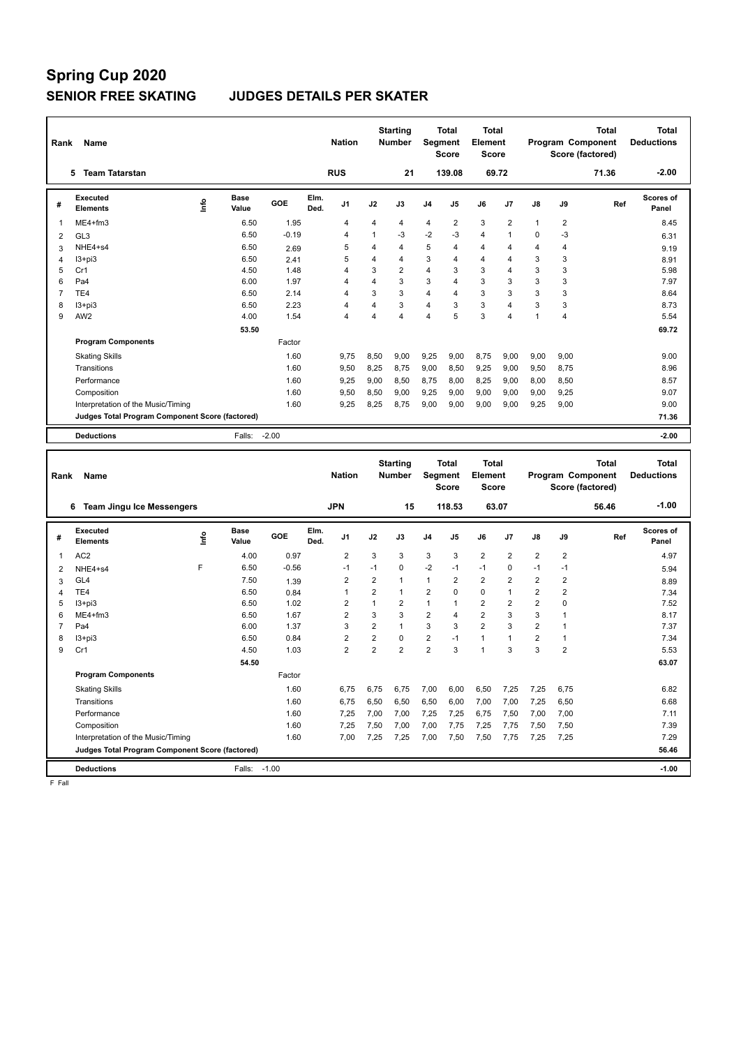### **Spring Cup 2020 SENIOR FREE SKATING JUDGES DETAILS PER SKATER**

| Rank | Name                                            |                              |         | <b>Nation</b>                        |                         | <b>Starting</b><br><b>Number</b> | <b>Segment</b> | <b>Total</b><br><b>Score</b>            | <b>Total</b><br>Element<br><b>Score</b> |                |               |                | <b>Total</b><br>Program Component<br>Score (factored) | <b>Total</b><br><b>Deductions</b> |
|------|-------------------------------------------------|------------------------------|---------|--------------------------------------|-------------------------|----------------------------------|----------------|-----------------------------------------|-----------------------------------------|----------------|---------------|----------------|-------------------------------------------------------|-----------------------------------|
|      | <b>Team Tatarstan</b><br>5                      |                              |         | <b>RUS</b>                           |                         | 21                               |                | 139.08                                  |                                         | 69.72          |               |                | 71.36                                                 | $-2.00$                           |
| #    | Executed<br>Elements                            | <b>Base</b><br>lnfo<br>Value | GOE     | Elm.<br>J1<br>Ded.                   | J2                      | J3                               | J <sub>4</sub> | J <sub>5</sub>                          | J6                                      | J7             | $\mathsf{J}8$ | J9             | Ref                                                   | Scores of<br>Panel                |
| -1   | $ME4 + fm3$                                     | 6.50                         | 1.95    | 4                                    | 4                       | 4                                | 4              | $\overline{2}$                          | 3                                       | $\overline{2}$ | $\mathbf{1}$  | $\overline{2}$ |                                                       | 8.45                              |
| 2    | GL <sub>3</sub>                                 | 6.50                         | $-0.19$ | 4                                    | 1                       | -3                               | $-2$           | $-3$                                    | $\overline{4}$                          | $\mathbf{1}$   | $\Omega$      | $-3$           |                                                       | 6.31                              |
| 3    | NHE4+s4                                         | 6.50                         | 2.69    | 5                                    | 4                       | $\overline{4}$                   | 5              | 4                                       | $\overline{4}$                          | 4              | 4             | $\overline{4}$ |                                                       | 9.19                              |
| 4    | $13 + pi3$                                      | 6.50                         | 2.41    | 5                                    | 4                       | $\overline{4}$                   | 3              | 4                                       | $\overline{4}$                          | 4              | 3             | 3              |                                                       | 8.91                              |
| 5    | Cr1                                             | 4.50                         | 1.48    | 4                                    | 3                       | $\overline{2}$                   | $\overline{4}$ | 3                                       | 3                                       | 4              | 3             | 3              |                                                       | 5.98                              |
| 6    | Pa4                                             | 6.00                         | 1.97    | 4                                    | $\overline{\mathbf{4}}$ | 3                                | 3              | 4                                       | 3                                       | 3              | 3             | 3              |                                                       | 7.97                              |
| 7    | TE4                                             | 6.50                         | 2.14    | 4                                    | 3                       | 3                                | $\overline{4}$ | 4                                       | 3                                       | 3              | 3             | 3              |                                                       | 8.64                              |
| 8    | $13 + pi3$                                      | 6.50                         | 2.23    | 4                                    | $\overline{\mathbf{4}}$ | 3                                | $\overline{4}$ | 3                                       | 3                                       | 4              | 3             | 3              |                                                       | 8.73                              |
| 9    | AW <sub>2</sub>                                 | 4.00                         | 1.54    | 4                                    | 4                       | $\overline{4}$                   | 4              | 5                                       | 3                                       | 4              | $\mathbf{1}$  | $\overline{4}$ |                                                       | 5.54                              |
|      |                                                 | 53.50                        |         |                                      |                         |                                  |                |                                         |                                         |                |               |                |                                                       | 69.72                             |
|      | <b>Program Components</b>                       |                              | Factor  |                                      |                         |                                  |                |                                         |                                         |                |               |                |                                                       |                                   |
|      | <b>Skating Skills</b>                           |                              | 1.60    | 9,75                                 | 8,50                    | 9,00                             | 9,25           | 9,00                                    | 8,75                                    | 9,00           | 9,00          | 9,00           |                                                       | 9.00                              |
|      | Transitions                                     |                              | 1.60    | 9,50                                 | 8,25                    | 8,75                             | 9,00           | 8,50                                    | 9,25                                    | 9,00           | 9,50          | 8,75           |                                                       | 8.96                              |
|      | Performance                                     |                              | 1.60    | 9,25                                 | 9,00                    | 8,50                             | 8,75           | 8,00                                    | 8,25                                    | 9,00           | 8,00          | 8,50           |                                                       | 8.57                              |
|      | Composition                                     |                              | 1.60    | 9,50                                 | 8,50                    | 9,00                             | 9,25           | 9,00                                    | 9,00                                    | 9,00           | 9,00          | 9,25           |                                                       | 9.07                              |
|      | Interpretation of the Music/Timing              |                              | 1.60    | 9,25                                 | 8,25                    | 8,75                             | 9,00           | 9,00                                    | 9,00                                    | 9,00           | 9,25          | 9,00           |                                                       | 9.00                              |
|      | Judges Total Program Component Score (factored) |                              |         |                                      |                         |                                  |                |                                         |                                         |                |               |                |                                                       | 71.36                             |
|      | <b>Deductions</b>                               | Falls: -2.00                 |         |                                      |                         |                                  |                |                                         |                                         |                |               |                |                                                       | $-2.00$                           |
|      |                                                 |                              |         |                                      |                         |                                  |                |                                         |                                         |                |               |                |                                                       |                                   |
| Rank | <b>Name</b>                                     |                              |         | <b>Nation</b>                        |                         | <b>Starting</b><br><b>Number</b> |                | <b>Total</b><br>Segment<br><b>Score</b> | <b>Total</b><br>Element<br><b>Score</b> |                |               |                | <b>Total</b><br>Program Component<br>Score (factored) | <b>Total</b><br><b>Deductions</b> |
|      | <b>Team Jingu Ice Messengers</b><br>6           |                              |         | <b>JPN</b>                           |                         | 15                               |                | 118.53                                  |                                         | 63.07          |               |                | 56.46                                                 | $-1.00$                           |
| #    | <b>Executed</b><br>Elemente                     | Base<br>န္<br>161            | GOE     | Elm.<br>J <sub>1</sub><br><b>Dod</b> | J2                      | J3                               | J <sub>4</sub> | J <sub>5</sub>                          | J6                                      | J7             | $\mathsf{J}8$ | J9             | Ref                                                   | <b>Scores of</b><br><b>Donal</b>  |

| #              | <b>Executed</b><br><b>Elements</b>              | <u>lnfo</u> | <b>Base</b><br>Value | <b>GOE</b> | Elm.<br>Ded. | J <sub>1</sub> | J2             | J3             | J <sub>4</sub> | J <sub>5</sub> | J6             | J <sub>7</sub> | $\mathsf{J}8$  | J9             | Ref | <b>Scores of</b><br>Panel |
|----------------|-------------------------------------------------|-------------|----------------------|------------|--------------|----------------|----------------|----------------|----------------|----------------|----------------|----------------|----------------|----------------|-----|---------------------------|
|                | AC <sub>2</sub>                                 |             | 4.00                 | 0.97       |              | $\overline{2}$ | 3              | 3              | 3              | 3              | $\overline{2}$ | $\overline{2}$ | $\overline{2}$ | $\overline{2}$ |     | 4.97                      |
| $\overline{2}$ | NHE4+s4                                         | F           | 6.50                 | $-0.56$    |              | $-1$           | $-1$           | $\Omega$       | $-2$           | $-1$           | $-1$           | $\Omega$       | $-1$           | $-1$           |     | 5.94                      |
| 3              | GL4                                             |             | 7.50                 | 1.39       |              | 2              | 2              |                | 1              | $\overline{2}$ | 2              | 2              | 2              | 2              |     | 8.89                      |
| 4              | TE4                                             |             | 6.50                 | 0.84       |              |                | 2              |                | 2              | 0              | 0              | 4              | 2              | 2              |     | 7.34                      |
| 5              | $13 + pi3$                                      |             | 6.50                 | 1.02       |              | 2              |                | 2              | 1              |                | 2              | $\overline{2}$ | 2              | 0              |     | 7.52                      |
| 6              | $ME4 + fm3$                                     |             | 6.50                 | 1.67       |              | $\overline{2}$ | 3              | 3              | $\overline{2}$ | 4              | $\overline{2}$ | 3              | 3              |                |     | 8.17                      |
| 7              | Pa4                                             |             | 6.00                 | 1.37       |              | 3              | $\overline{2}$ |                | 3              | 3              | $\overline{2}$ | 3              | $\overline{2}$ |                |     | 7.37                      |
| 8              | $13 + pi3$                                      |             | 6.50                 | 0.84       |              | 2              | 2              | 0              | 2              | $-1$           |                | 1              | 2              |                |     | 7.34                      |
| 9              | Cr1                                             |             | 4.50                 | 1.03       |              | $\overline{2}$ | $\overline{2}$ | $\overline{2}$ | $\overline{2}$ | 3              |                | 3              | 3              | $\overline{2}$ |     | 5.53                      |
|                |                                                 |             | 54.50                |            |              |                |                |                |                |                |                |                |                |                |     | 63.07                     |
|                | <b>Program Components</b>                       |             |                      | Factor     |              |                |                |                |                |                |                |                |                |                |     |                           |
|                | <b>Skating Skills</b>                           |             |                      | 1.60       |              | 6,75           | 6,75           | 6,75           | 7,00           | 6,00           | 6,50           | 7,25           | 7,25           | 6,75           |     | 6.82                      |
|                | Transitions                                     |             |                      | 1.60       |              | 6,75           | 6,50           | 6,50           | 6,50           | 6,00           | 7,00           | 7,00           | 7,25           | 6,50           |     | 6.68                      |
|                | Performance                                     |             |                      | 1.60       |              | 7,25           | 7,00           | 7,00           | 7,25           | 7,25           | 6,75           | 7,50           | 7,00           | 7,00           |     | 7.11                      |
|                | Composition                                     |             |                      | 1.60       |              | 7,25           | 7,50           | 7,00           | 7,00           | 7,75           | 7,25           | 7,75           | 7,50           | 7,50           |     | 7.39                      |
|                | Interpretation of the Music/Timing              |             |                      | 1.60       |              | 7,00           | 7,25           | 7,25           | 7,00           | 7,50           | 7,50           | 7,75           | 7,25           | 7,25           |     | 7.29                      |
|                | Judges Total Program Component Score (factored) |             |                      |            |              |                |                |                |                |                |                |                |                |                |     | 56.46                     |
|                | <b>Deductions</b>                               |             | Falls:               | $-1.00$    |              |                |                |                |                |                |                |                |                |                |     | $-1.00$                   |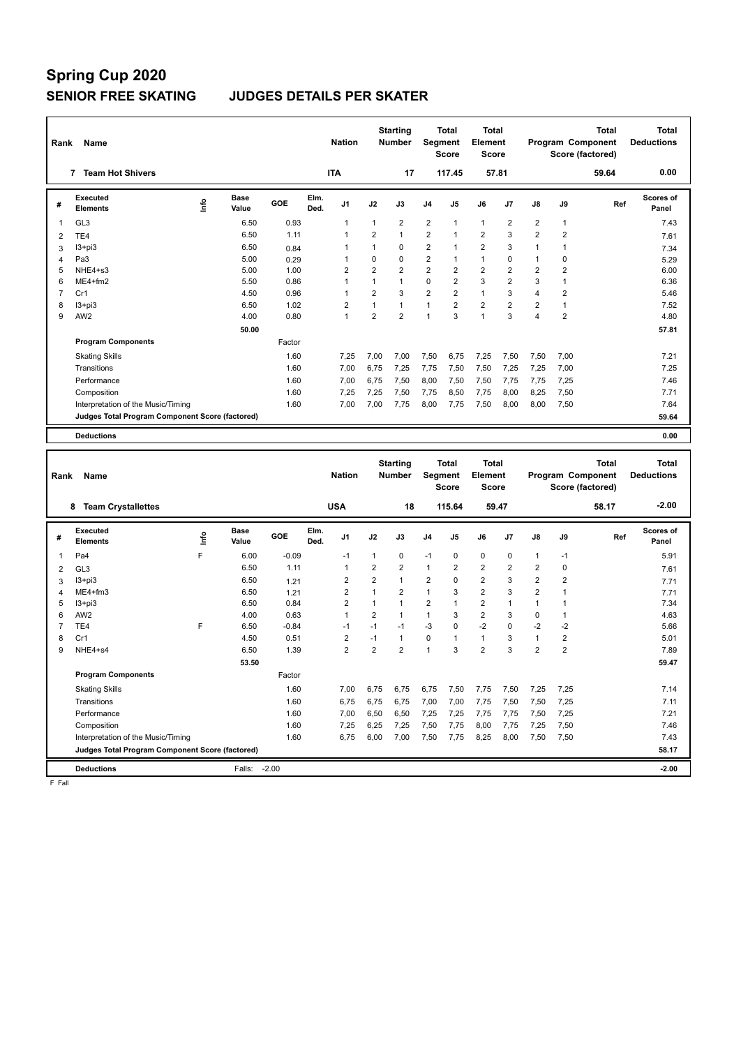#### **SENIOR FREE SKATING JUDGES DETAILS PER SKATER**

| Rank           | Name                                            |                              |         |              | <b>Nation</b>  |                | <b>Starting</b><br><b>Number</b> | Segment        | <b>Total</b><br><b>Score</b> | <b>Total</b><br>Element<br><b>Score</b> |                |                         |                | <b>Total</b><br>Program Component<br>Score (factored) | <b>Total</b><br><b>Deductions</b> |
|----------------|-------------------------------------------------|------------------------------|---------|--------------|----------------|----------------|----------------------------------|----------------|------------------------------|-----------------------------------------|----------------|-------------------------|----------------|-------------------------------------------------------|-----------------------------------|
|                | <b>Team Hot Shivers</b><br>7                    |                              |         |              | <b>ITA</b>     |                | 17                               |                | 117.45                       |                                         | 57.81          |                         |                | 59.64                                                 | 0.00                              |
| #              | Executed<br><b>Elements</b>                     | <b>Base</b><br>lnfo<br>Value | GOE     | Elm.<br>Ded. | J1             | J2             | J3                               | J <sub>4</sub> | J5                           | J6                                      | J7             | J8                      | J9             | Ref                                                   | Scores of<br>Panel                |
| $\overline{1}$ | GL <sub>3</sub>                                 | 6.50                         | 0.93    |              | 1              | $\mathbf{1}$   | 2                                | 2              | $\mathbf{1}$                 | $\mathbf{1}$                            | 2              | 2                       | $\mathbf{1}$   |                                                       | 7.43                              |
| $\overline{2}$ | TE4                                             | 6.50                         | 1.11    |              | $\mathbf{1}$   | $\overline{2}$ | $\overline{1}$                   | $\overline{2}$ | $\mathbf{1}$                 | $\overline{2}$                          | 3              | $\overline{2}$          | $\overline{2}$ |                                                       | 7.61                              |
| 3              | $13 + pi3$                                      | 6.50                         | 0.84    |              | 1              | $\mathbf{1}$   | $\mathbf 0$                      | $\overline{2}$ | $\mathbf{1}$                 | $\overline{2}$                          | 3              | 1                       | $\mathbf{1}$   |                                                       | 7.34                              |
| 4              | Pa3                                             | 5.00                         | 0.29    |              | 1              | 0              | $\mathbf 0$                      | $\overline{2}$ | $\mathbf{1}$                 | $\mathbf{1}$                            | 0              | $\mathbf{1}$            | $\mathbf 0$    |                                                       | 5.29                              |
| 5              | NHE4+s3                                         | 5.00                         | 1.00    |              | $\overline{2}$ | $\overline{2}$ | $\overline{2}$                   | $\overline{2}$ | 2                            | $\overline{2}$                          | $\overline{2}$ | $\overline{2}$          | $\overline{2}$ |                                                       | 6.00                              |
| 6              | $ME4 + fm2$                                     | 5.50                         | 0.86    |              | 1              | $\mathbf{1}$   | $\mathbf{1}$                     | 0              | $\overline{2}$               | 3                                       | $\overline{2}$ | 3                       | $\mathbf{1}$   |                                                       | 6.36                              |
| $\overline{7}$ | Cr1                                             | 4.50                         | 0.96    |              | 1              | $\overline{2}$ | 3                                | $\overline{2}$ | $\overline{2}$               | $\mathbf{1}$                            | 3              | $\overline{\mathbf{4}}$ | $\overline{2}$ |                                                       | 5.46                              |
| 8              | $13 + pi3$                                      | 6.50                         | 1.02    |              | $\overline{2}$ | $\mathbf{1}$   | $\mathbf{1}$                     | $\mathbf{1}$   | $\overline{2}$               | $\overline{2}$                          | $\overline{2}$ | $\overline{2}$          | $\mathbf{1}$   |                                                       | 7.52                              |
| 9              | AW <sub>2</sub>                                 | 4.00                         | 0.80    |              | $\mathbf{1}$   | $\overline{2}$ | $\overline{2}$                   | $\mathbf{1}$   | 3                            | $\overline{1}$                          | 3              | $\overline{\mathbf{A}}$ | $\overline{2}$ |                                                       | 4.80                              |
|                |                                                 | 50.00                        |         |              |                |                |                                  |                |                              |                                         |                |                         |                |                                                       | 57.81                             |
|                | <b>Program Components</b>                       |                              | Factor  |              |                |                |                                  |                |                              |                                         |                |                         |                |                                                       |                                   |
|                | <b>Skating Skills</b>                           |                              | 1.60    |              | 7.25           | 7,00           | 7,00                             | 7,50           | 6,75                         | 7,25                                    | 7,50           | 7,50                    | 7,00           |                                                       | 7.21                              |
|                | Transitions                                     |                              | 1.60    |              | 7,00           | 6,75           | 7,25                             | 7,75           | 7,50                         | 7,50                                    | 7,25           | 7,25                    | 7,00           |                                                       | 7.25                              |
|                | Performance                                     |                              | 1.60    |              | 7,00           | 6,75           | 7,50                             | 8,00           | 7,50                         | 7,50                                    | 7,75           | 7,75                    | 7,25           |                                                       | 7.46                              |
|                | Composition                                     |                              | 1.60    |              | 7,25           | 7,25           | 7,50                             | 7,75           | 8,50                         | 7,75                                    | 8,00           | 8,25                    | 7,50           |                                                       | 7.71                              |
|                | Interpretation of the Music/Timing              |                              | 1.60    |              | 7,00           | 7,00           | 7,75                             | 8,00           | 7,75                         | 7,50                                    | 8,00           | 8,00                    | 7,50           |                                                       | 7.64                              |
|                | Judges Total Program Component Score (factored) |                              |         |              |                |                |                                  |                |                              |                                         |                |                         |                |                                                       | 59.64                             |
|                | <b>Deductions</b>                               |                              |         |              |                |                |                                  |                |                              |                                         |                |                         |                |                                                       | 0.00                              |
|                |                                                 |                              |         |              |                |                |                                  |                |                              |                                         |                |                         |                |                                                       |                                   |
| Rank           | Name                                            |                              |         |              | <b>Nation</b>  |                | <b>Starting</b><br><b>Number</b> | <b>Segment</b> | <b>Total</b><br><b>Score</b> | Total<br>Element<br><b>Score</b>        |                |                         |                | Total<br>Program Component<br>Score (factored)        | <b>Total</b><br><b>Deductions</b> |
|                | <b>Team Crystallettes</b><br>8                  |                              |         |              | <b>USA</b>     |                | 18                               |                | 115.64                       |                                         | 59.47          |                         |                | 58.17                                                 | $-2.00$                           |
| #              | Executed<br><b>Elements</b>                     | <b>Base</b><br>lnfo<br>Value | GOE     | Elm.<br>Ded. | J1             | J2             | J3                               | J4             | J <sub>5</sub>               | J6                                      | J7             | J8                      | J9             | Ref                                                   | Scores of<br>Panel                |
| $\overline{1}$ | Pa4                                             | F<br>6.00                    | $-0.09$ |              | $-1$           | 1              | 0                                | $-1$           | 0                            | $\mathbf 0$                             | 0              | 1                       | -1             |                                                       | 5.91                              |
| $\overline{2}$ | GL <sub>3</sub>                                 | 6.50                         | 1.11    |              | $\mathbf{1}$   | $\overline{2}$ | $\overline{2}$                   | $\mathbf{1}$   | 2                            | $\overline{2}$                          | $\overline{2}$ | $\overline{2}$          | $\mathbf{0}$   |                                                       | 7.61                              |
| 3              | $13 + pi3$                                      | 6.50                         | 1.21    |              | 2              | $\overline{2}$ | $\mathbf{1}$                     | 2              | 0                            | $\overline{2}$                          | 3              | $\overline{2}$          | $\overline{2}$ |                                                       | 7.71                              |
| 4              | $ME4 + fm3$                                     | 6.50                         | 1.21    |              | $\overline{2}$ | $\mathbf{1}$   | $\overline{2}$                   | $\mathbf{1}$   | 3                            | $\overline{2}$                          | 3              | $\overline{2}$          | $\mathbf{1}$   |                                                       | 7.71                              |
| 5              | $13 + pi3$                                      | 6.50                         | 0.84    |              | $\overline{2}$ | 1              | $\mathbf{1}$                     | 2              | 1                            | $\overline{2}$                          | $\overline{1}$ | 1                       | $\mathbf{1}$   |                                                       | 7.34                              |

 AW2 4.00 0.63 1 2 1 1 3 2 3 0 1 4.63 TE4 F 6.50 -0.84 -1 -1 -1 -3 0 -2 0 -2 -2 5.66 Cr1 4.50 0.51 2 -1 1 0 1 1 3 1 2 5.01 NHE4+s4 6.50 1.39 2 2 2 1 3 2 3 2 2 7.89

Skating Skills 7,00 6,75 6,75 6,75 7,50 7,75 7,50 7,25 7,25 1.60 7.14

Transitions 1.60 6,75 6,75 6,75 7,00 7,00 7,75 7,50 7,50 7,25 7.11 Performance 1.60 7,00 6,50 6,50 7,25 7,25 7,75 7,75 7,50 7,25 7.21 Composition 1.60 7,25 6,25 7,25 7,50 7,75 8,00 7,75 7,25 7,50 7.46 Interpretation of the Music/Timing 1.60 6,75 6,00 7,00 7,50 7,75 8,25 8,00 7,50 7,50 7,50 7,43

**Deductions** Falls: -2.00 **-2.00 Judges Total Program Component Score (factored) 58.17**

Factor

 **53.50 59.47**

F Fall

**Program Components**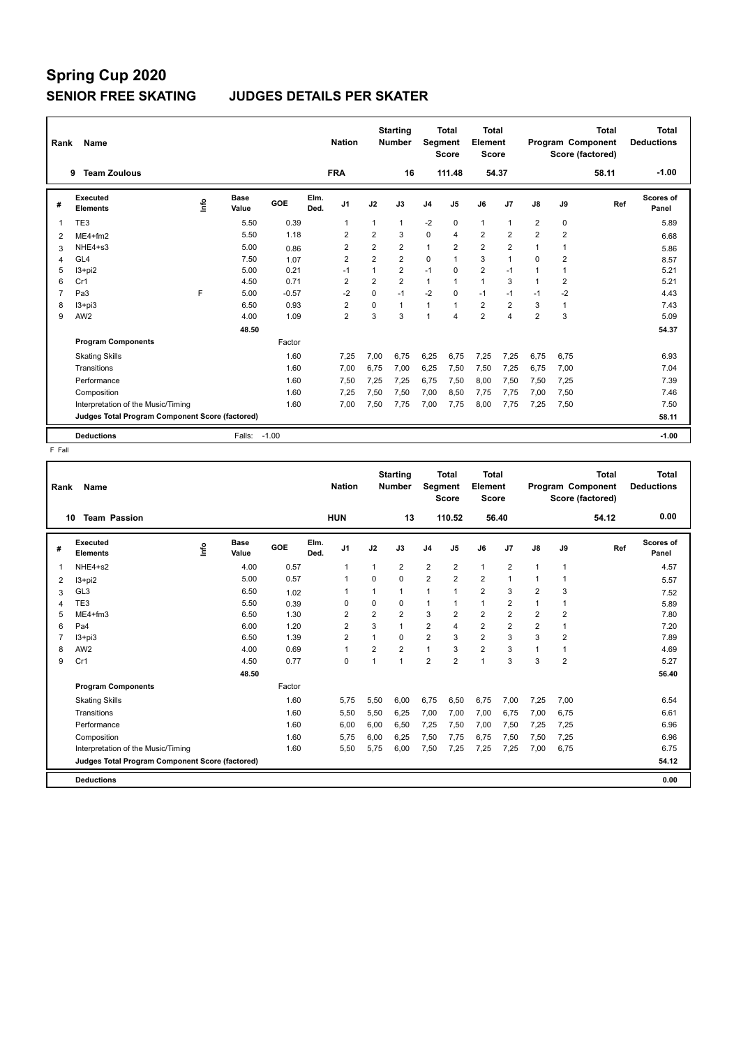### **SENIOR FREE SKATING JUDGES DETAILS PER SKATER**

| Rank | Name                                            |      |                      |         |              | <b>Nation</b>  |                | <b>Starting</b><br><b>Number</b> | Segment        | <b>Total</b><br><b>Score</b> | <b>Total</b><br>Element<br><b>Score</b> |                |                |                | <b>Total</b><br>Program Component<br>Score (factored) | <b>Total</b><br><b>Deductions</b> |
|------|-------------------------------------------------|------|----------------------|---------|--------------|----------------|----------------|----------------------------------|----------------|------------------------------|-----------------------------------------|----------------|----------------|----------------|-------------------------------------------------------|-----------------------------------|
|      | <b>Team Zoulous</b><br>9                        |      |                      |         |              | <b>FRA</b>     |                | 16                               |                | 111.48                       |                                         | 54.37          |                |                | 58.11                                                 | $-1.00$                           |
| #    | Executed<br><b>Elements</b>                     | Info | <b>Base</b><br>Value | GOE     | Elm.<br>Ded. | J <sub>1</sub> | J2             | J3                               | J <sub>4</sub> | J5                           | J6                                      | J7             | J8             | J9             | Ref                                                   | Scores of<br>Panel                |
| 1    | TE3                                             |      | 5.50                 | 0.39    |              | $\mathbf{1}$   | $\mathbf{1}$   | $\mathbf{1}$                     | $-2$           | $\mathbf 0$                  | $\mathbf{1}$                            | $\mathbf{1}$   | $\overline{2}$ | $\mathbf 0$    |                                                       | 5.89                              |
| 2    | $ME4 + fm2$                                     |      | 5.50                 | 1.18    |              | $\overline{2}$ | $\overline{2}$ | 3                                | 0              | $\overline{4}$               | $\overline{2}$                          | $\overline{2}$ | $\overline{2}$ | $\overline{2}$ |                                                       | 6.68                              |
| 3    | NHE4+s3                                         |      | 5.00                 | 0.86    |              | $\overline{2}$ | $\overline{2}$ | $\overline{2}$                   | $\mathbf{1}$   | $\overline{2}$               | $\overline{2}$                          | $\overline{2}$ | 1              | 1              |                                                       | 5.86                              |
| 4    | GL <sub>4</sub>                                 |      | 7.50                 | 1.07    |              | 2              | $\overline{2}$ | $\overline{2}$                   | 0              |                              | 3                                       | 1              | 0              | 2              |                                                       | 8.57                              |
| 5    | $13+pi2$                                        |      | 5.00                 | 0.21    |              | $-1$           | $\mathbf{1}$   | $\overline{2}$                   | $-1$           | 0                            | $\overline{2}$                          | $-1$           |                | 1              |                                                       | 5.21                              |
| 6    | Cr1                                             |      | 4.50                 | 0.71    |              | $\overline{2}$ | $\overline{2}$ | $\overline{2}$                   | 1              |                              | $\mathbf{1}$                            | 3              |                | $\overline{2}$ |                                                       | 5.21                              |
| 7    | Pa <sub>3</sub>                                 | E    | 5.00                 | $-0.57$ |              | $-2$           | $\mathbf 0$    | $-1$                             | $-2$           | $\mathbf 0$                  | $-1$                                    | $-1$           | $-1$           | $-2$           |                                                       | 4.43                              |
| 8    | $13 + pi3$                                      |      | 6.50                 | 0.93    |              | 2              | 0              | 1                                | 1              |                              | $\overline{2}$                          | 2              | 3              | 1              |                                                       | 7.43                              |
| 9    | AW <sub>2</sub>                                 |      | 4.00                 | 1.09    |              | $\overline{2}$ | 3              | 3                                | $\overline{1}$ | $\overline{4}$               | $\overline{2}$                          | 4              | $\overline{2}$ | 3              |                                                       | 5.09                              |
|      |                                                 |      | 48.50                |         |              |                |                |                                  |                |                              |                                         |                |                |                |                                                       | 54.37                             |
|      | <b>Program Components</b>                       |      |                      | Factor  |              |                |                |                                  |                |                              |                                         |                |                |                |                                                       |                                   |
|      | <b>Skating Skills</b>                           |      |                      | 1.60    |              | 7.25           | 7,00           | 6.75                             | 6,25           | 6.75                         | 7,25                                    | 7,25           | 6.75           | 6,75           |                                                       | 6.93                              |
|      | Transitions                                     |      |                      | 1.60    |              | 7,00           | 6,75           | 7,00                             | 6,25           | 7,50                         | 7,50                                    | 7,25           | 6.75           | 7,00           |                                                       | 7.04                              |
|      | Performance                                     |      |                      | 1.60    |              | 7,50           | 7,25           | 7,25                             | 6,75           | 7,50                         | 8,00                                    | 7,50           | 7,50           | 7,25           |                                                       | 7.39                              |
|      | Composition                                     |      |                      | 1.60    |              | 7,25           | 7,50           | 7,50                             | 7,00           | 8,50                         | 7,75                                    | 7,75           | 7,00           | 7,50           |                                                       | 7.46                              |
|      | Interpretation of the Music/Timing              |      |                      | 1.60    |              | 7,00           | 7,50           | 7.75                             | 7,00           | 7,75                         | 8,00                                    | 7,75           | 7,25           | 7,50           |                                                       | 7.50                              |
|      | Judges Total Program Component Score (factored) |      |                      |         |              |                |                |                                  |                |                              |                                         |                |                |                |                                                       | 58.11                             |
|      | <b>Deductions</b>                               |      | Falls:               | $-1.00$ |              |                |                |                                  |                |                              |                                         |                |                |                |                                                       | $-1.00$                           |

| Rank | Name                                            |    |                      |        |              | <b>Nation</b>  |                | <b>Starting</b><br><b>Number</b> | Segment        | <b>Total</b><br><b>Score</b> | Total<br>Element<br><b>Score</b> |                |                |                | <b>Total</b><br>Program Component<br>Score (factored) | <b>Total</b><br><b>Deductions</b> |
|------|-------------------------------------------------|----|----------------------|--------|--------------|----------------|----------------|----------------------------------|----------------|------------------------------|----------------------------------|----------------|----------------|----------------|-------------------------------------------------------|-----------------------------------|
| 10   | <b>Team Passion</b>                             |    |                      |        |              | <b>HUN</b>     |                | 13                               |                | 110.52                       | 56.40                            |                |                |                | 54.12                                                 | 0.00                              |
| #    | Executed<br><b>Elements</b>                     | ۴ô | <b>Base</b><br>Value | GOE    | Elm.<br>Ded. | J <sub>1</sub> | J2             | J3                               | J <sub>4</sub> | J5                           | J6                               | J <sub>7</sub> | J8             | J9             | Ref                                                   | <b>Scores of</b><br>Panel         |
| 1    | $NHE4+s2$                                       |    | 4.00                 | 0.57   |              | $\mathbf{1}$   | 1              | 2                                | $\overline{2}$ | $\overline{2}$               | $\mathbf{1}$                     | $\overline{2}$ | 1              | $\mathbf{1}$   |                                                       | 4.57                              |
| 2    | $13 + pi2$                                      |    | 5.00                 | 0.57   |              | $\mathbf{1}$   | 0              | 0                                | 2              | $\overline{2}$               | $\overline{2}$                   | $\overline{1}$ | 1              | 1              |                                                       | 5.57                              |
| 3    | GL <sub>3</sub>                                 |    | 6.50                 | 1.02   |              | 1              | 1              | 1                                | $\mathbf{1}$   | 1                            | $\overline{2}$                   | 3              | $\overline{2}$ | 3              |                                                       | 7.52                              |
| 4    | TE3                                             |    | 5.50                 | 0.39   |              | 0              | 0              | 0                                | $\mathbf{1}$   |                              | $\mathbf{1}$                     | $\overline{2}$ | 1              | 1              |                                                       | 5.89                              |
| 5    | $ME4 + fm3$                                     |    | 6.50                 | 1.30   |              | 2              | $\overline{2}$ | $\overline{2}$                   | 3              | $\overline{2}$               | $\overline{2}$                   | $\overline{2}$ | $\overline{2}$ | $\overline{2}$ |                                                       | 7.80                              |
| 6    | Pa4                                             |    | 6.00                 | 1.20   |              | $\overline{2}$ | 3              | 1                                | $\overline{2}$ | 4                            | $\overline{2}$                   | $\overline{2}$ | $\overline{2}$ | 1              |                                                       | 7.20                              |
| 7    | $13 + pi3$                                      |    | 6.50                 | 1.39   |              | $\overline{2}$ | 1              | 0                                | $\overline{2}$ | 3                            | $\overline{2}$                   | 3              | 3              | $\overline{2}$ |                                                       | 7.89                              |
| 8    | AW <sub>2</sub>                                 |    | 4.00                 | 0.69   |              | $\mathbf{1}$   | $\overline{2}$ | $\overline{2}$                   | $\mathbf{1}$   | 3                            | $\overline{2}$                   | 3              | 1              | 1              |                                                       | 4.69                              |
| 9    | Cr1                                             |    | 4.50                 | 0.77   |              | $\Omega$       | 1              | 1                                | $\overline{2}$ | $\overline{2}$               | $\mathbf{1}$                     | 3              | 3              | $\overline{2}$ |                                                       | 5.27                              |
|      |                                                 |    | 48.50                |        |              |                |                |                                  |                |                              |                                  |                |                |                |                                                       | 56.40                             |
|      | <b>Program Components</b>                       |    |                      | Factor |              |                |                |                                  |                |                              |                                  |                |                |                |                                                       |                                   |
|      | <b>Skating Skills</b>                           |    |                      | 1.60   |              | 5.75           | 5,50           | 6.00                             | 6,75           | 6,50                         | 6,75                             | 7,00           | 7,25           | 7,00           |                                                       | 6.54                              |
|      | Transitions                                     |    |                      | 1.60   |              | 5,50           | 5,50           | 6.25                             | 7,00           | 7,00                         | 7,00                             | 6,75           | 7,00           | 6,75           |                                                       | 6.61                              |
|      | Performance                                     |    |                      | 1.60   |              | 6,00           | 6,00           | 6,50                             | 7,25           | 7,50                         | 7,00                             | 7,50           | 7,25           | 7,25           |                                                       | 6.96                              |
|      | Composition                                     |    |                      | 1.60   |              | 5,75           | 6,00           | 6,25                             | 7,50           | 7,75                         | 6,75                             | 7,50           | 7,50           | 7,25           |                                                       | 6.96                              |
|      | Interpretation of the Music/Timing              |    |                      | 1.60   |              | 5,50           | 5,75           | 6.00                             | 7,50           | 7,25                         | 7,25                             | 7,25           | 7,00           | 6,75           |                                                       | 6.75                              |
|      | Judges Total Program Component Score (factored) |    |                      |        |              |                |                |                                  |                |                              |                                  |                |                |                |                                                       | 54.12                             |
|      | <b>Deductions</b>                               |    |                      |        |              |                |                |                                  |                |                              |                                  |                |                |                |                                                       | 0.00                              |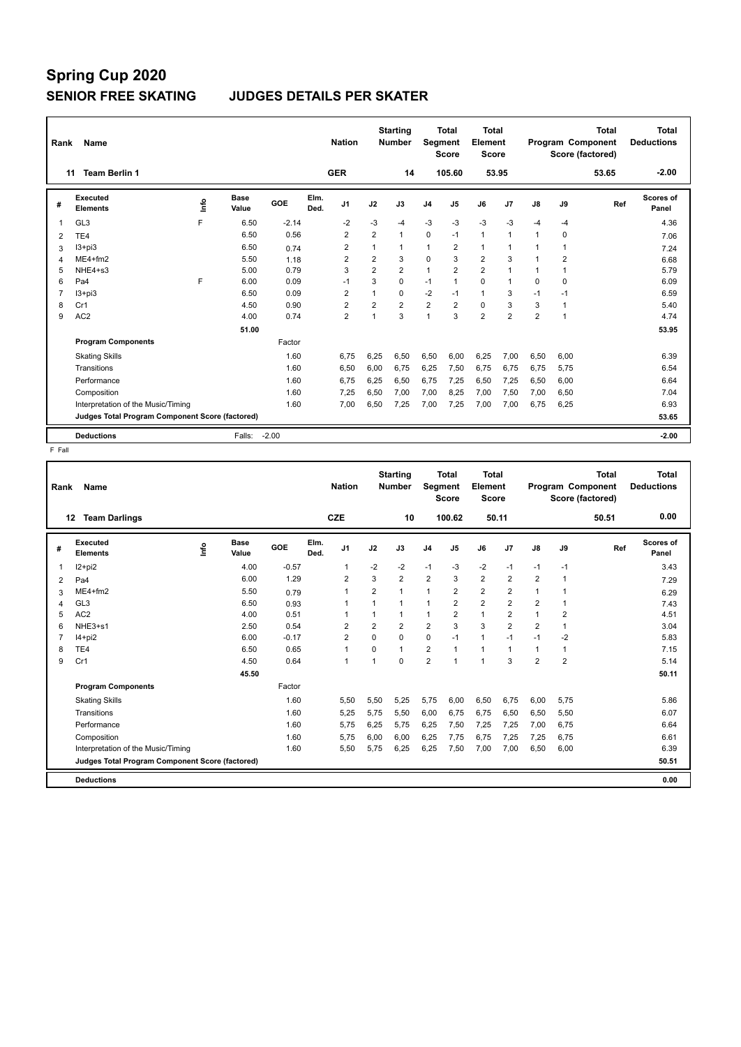### **SENIOR FREE SKATING JUDGES DETAILS PER SKATER**

| Rank | Name                                            |    |               |         |              | <b>Nation</b>  |                | <b>Starting</b><br><b>Number</b> | Segment        | <b>Total</b><br><b>Score</b> | <b>Total</b><br>Element<br><b>Score</b> |                |                |             | <b>Total</b><br>Program Component<br>Score (factored) | <b>Total</b><br><b>Deductions</b> |
|------|-------------------------------------------------|----|---------------|---------|--------------|----------------|----------------|----------------------------------|----------------|------------------------------|-----------------------------------------|----------------|----------------|-------------|-------------------------------------------------------|-----------------------------------|
| 11   | <b>Team Berlin 1</b>                            |    |               |         |              | <b>GER</b>     |                | 14                               |                | 105.60                       |                                         | 53.95          |                |             | 53.65                                                 | $-2.00$                           |
| #    | Executed<br><b>Elements</b>                     | ۴ů | Base<br>Value | GOE     | Elm.<br>Ded. | J <sub>1</sub> | J2             | J3                               | J <sub>4</sub> | J <sub>5</sub>               | J6                                      | J7             | J8             | J9          | Ref                                                   | Scores of<br>Panel                |
| 1    | GL <sub>3</sub>                                 | F  | 6.50          | $-2.14$ |              | $-2$           | $-3$           | -4                               | $-3$           | $-3$                         | $-3$                                    | $-3$           | $-4$           | $-4$        |                                                       | 4.36                              |
| 2    | TE4                                             |    | 6.50          | 0.56    |              | $\overline{2}$ | $\overline{2}$ | 1                                | 0              | $-1$                         | $\mathbf{1}$                            | 1              |                | $\mathbf 0$ |                                                       | 7.06                              |
| 3    | $13 + pi3$                                      |    | 6.50          | 0.74    |              | $\overline{2}$ | 1              | 1                                | 1              | $\overline{2}$               | $\mathbf{1}$                            | $\overline{1}$ |                | 1           |                                                       | 7.24                              |
| 4    | $ME4+fm2$                                       |    | 5.50          | 1.18    |              | 2              | 2              | 3                                | 0              | 3                            | 2                                       | 3              |                | 2           |                                                       | 6.68                              |
| 5    | NHE4+s3                                         |    | 5.00          | 0.79    |              | 3              | $\overline{2}$ | $\overline{2}$                   | 1              | $\overline{2}$               | $\overline{2}$                          | 1              |                | 1           |                                                       | 5.79                              |
| 6    | Pa4                                             | F  | 6.00          | 0.09    |              | $-1$           | 3              | $\Omega$                         | $-1$           | $\overline{1}$               | $\Omega$                                | 1              | $\Omega$       | $\Omega$    |                                                       | 6.09                              |
| 7    | $13 + pi3$                                      |    | 6.50          | 0.09    |              | $\overline{2}$ | 1              | $\Omega$                         | $-2$           | $-1$                         | $\mathbf{1}$                            | 3              | $-1$           | $-1$        |                                                       | 6.59                              |
| 8    | Cr1                                             |    | 4.50          | 0.90    |              | 2              | $\overline{2}$ | $\overline{2}$                   | $\overline{2}$ | 2                            | 0                                       | 3              | 3              | 1           |                                                       | 5.40                              |
| 9    | AC <sub>2</sub>                                 |    | 4.00          | 0.74    |              | $\overline{2}$ | 1              | 3                                | $\overline{1}$ | 3                            | $\overline{2}$                          | $\overline{2}$ | $\overline{2}$ | 1           |                                                       | 4.74                              |
|      |                                                 |    | 51.00         |         |              |                |                |                                  |                |                              |                                         |                |                |             |                                                       | 53.95                             |
|      | <b>Program Components</b>                       |    |               | Factor  |              |                |                |                                  |                |                              |                                         |                |                |             |                                                       |                                   |
|      | <b>Skating Skills</b>                           |    |               | 1.60    |              | 6.75           | 6.25           | 6,50                             | 6,50           | 6,00                         | 6,25                                    | 7,00           | 6,50           | 6,00        |                                                       | 6.39                              |
|      | Transitions                                     |    |               | 1.60    |              | 6.50           | 6.00           | 6.75                             | 6,25           | 7,50                         | 6,75                                    | 6.75           | 6.75           | 5,75        |                                                       | 6.54                              |
|      | Performance                                     |    |               | 1.60    |              | 6.75           | 6,25           | 6,50                             | 6,75           | 7,25                         | 6,50                                    | 7,25           | 6,50           | 6,00        |                                                       | 6.64                              |
|      | Composition                                     |    |               | 1.60    |              | 7,25           | 6,50           | 7,00                             | 7,00           | 8,25                         | 7,00                                    | 7,50           | 7,00           | 6,50        |                                                       | 7.04                              |
|      | Interpretation of the Music/Timing              |    |               | 1.60    |              | 7,00           | 6,50           | 7,25                             | 7,00           | 7,25                         | 7,00                                    | 7,00           | 6.75           | 6,25        |                                                       | 6.93                              |
|      | Judges Total Program Component Score (factored) |    |               |         |              |                |                |                                  |                |                              |                                         |                |                |             |                                                       | 53.65                             |
|      | <b>Deductions</b>                               |    | Falls:        | $-2.00$ |              |                |                |                                  |                |                              |                                         |                |                |             |                                                       | $-2.00$                           |

| Rank | Name                                            |    |                      |         |              | <b>Nation</b>  |                | <b>Starting</b><br><b>Number</b> | Segment        | <b>Total</b><br><b>Score</b> | Total<br>Element<br><b>Score</b> |                |                |                | <b>Total</b><br><b>Program Component</b><br>Score (factored) | <b>Total</b><br><b>Deductions</b> |
|------|-------------------------------------------------|----|----------------------|---------|--------------|----------------|----------------|----------------------------------|----------------|------------------------------|----------------------------------|----------------|----------------|----------------|--------------------------------------------------------------|-----------------------------------|
| 12   | <b>Team Darlings</b>                            |    |                      |         |              | <b>CZE</b>     |                | 10                               |                | 100.62                       |                                  | 50.11          |                |                | 50.51                                                        | 0.00                              |
| #    | Executed<br><b>Elements</b>                     | ۴ô | <b>Base</b><br>Value | GOE     | Elm.<br>Ded. | J <sub>1</sub> | J2             | J3                               | J <sub>4</sub> | J <sub>5</sub>               | J6                               | J <sub>7</sub> | J8             | J9             | Ref                                                          | <b>Scores of</b><br>Panel         |
| 1    | $12+pi2$                                        |    | 4.00                 | $-0.57$ |              | $\mathbf{1}$   | $-2$           | $-2$                             | $-1$           | $-3$                         | $-2$                             | $-1$           | $-1$           | $-1$           |                                                              | 3.43                              |
| 2    | Pa4                                             |    | 6.00                 | 1.29    |              | 2              | 3              | $\overline{2}$                   | $\overline{2}$ | 3                            | $\overline{2}$                   | $\overline{2}$ | $\overline{2}$ | $\mathbf{1}$   |                                                              | 7.29                              |
| 3    | $ME4 + fm2$                                     |    | 5.50                 | 0.79    |              | 1              | $\overline{2}$ | 1                                | $\mathbf{1}$   | $\overline{2}$               | $\overline{2}$                   | $\overline{2}$ | 1              | 1              |                                                              | 6.29                              |
| 4    | GL <sub>3</sub>                                 |    | 6.50                 | 0.93    |              | 1              | 1              | 1                                | $\mathbf{1}$   | $\overline{2}$               | $\overline{2}$                   | $\overline{2}$ | $\overline{2}$ | 1              |                                                              | 7.43                              |
| 5    | AC <sub>2</sub>                                 |    | 4.00                 | 0.51    |              | $\mathbf{1}$   | 1              | 1                                | $\mathbf{1}$   | $\overline{2}$               | $\mathbf{1}$                     | $\overline{2}$ | $\mathbf{1}$   | $\overline{2}$ |                                                              | 4.51                              |
| 6    | $NHE3+s1$                                       |    | 2.50                 | 0.54    |              | $\overline{2}$ | $\overline{2}$ | $\overline{2}$                   | $\overline{2}$ | 3                            | 3                                | $\overline{2}$ | $\overline{2}$ | 1              |                                                              | 3.04                              |
| 7    | $I4+pi2$                                        |    | 6.00                 | $-0.17$ |              | $\overline{2}$ | $\Omega$       | 0                                | $\mathbf 0$    | $-1$                         | $\mathbf{1}$                     | $-1$           | $-1$           | $-2$           |                                                              | 5.83                              |
| 8    | TE4                                             |    | 6.50                 | 0.65    |              | $\mathbf{1}$   | $\Omega$       | 1                                | $\overline{2}$ | $\mathbf{1}$                 | $\mathbf{1}$                     | $\overline{1}$ | 1              | $\mathbf{1}$   |                                                              | 7.15                              |
| 9    | Cr1                                             |    | 4.50                 | 0.64    |              | 1              | 1              | 0                                | $\overline{2}$ | 1                            | $\mathbf{1}$                     | 3              | $\overline{2}$ | $\overline{2}$ |                                                              | 5.14                              |
|      |                                                 |    | 45.50                |         |              |                |                |                                  |                |                              |                                  |                |                |                |                                                              | 50.11                             |
|      | <b>Program Components</b>                       |    |                      | Factor  |              |                |                |                                  |                |                              |                                  |                |                |                |                                                              |                                   |
|      | <b>Skating Skills</b>                           |    |                      | 1.60    |              | 5.50           | 5,50           | 5.25                             | 5,75           | 6,00                         | 6,50                             | 6,75           | 6,00           | 5.75           |                                                              | 5.86                              |
|      | Transitions                                     |    |                      | 1.60    |              | 5,25           | 5,75           | 5.50                             | 6,00           | 6,75                         | 6,75                             | 6,50           | 6,50           | 5,50           |                                                              | 6.07                              |
|      | Performance                                     |    |                      | 1.60    |              | 5.75           | 6,25           | 5.75                             | 6,25           | 7,50                         | 7,25                             | 7,25           | 7,00           | 6,75           |                                                              | 6.64                              |
|      | Composition                                     |    |                      | 1.60    |              | 5,75           | 6,00           | 6,00                             | 6,25           | 7,75                         | 6,75                             | 7,25           | 7,25           | 6,75           |                                                              | 6.61                              |
|      | Interpretation of the Music/Timing              |    |                      | 1.60    |              | 5,50           | 5,75           | 6.25                             | 6,25           | 7,50                         | 7,00                             | 7,00           | 6,50           | 6,00           |                                                              | 6.39                              |
|      | Judges Total Program Component Score (factored) |    |                      |         |              |                |                |                                  |                |                              |                                  |                |                |                |                                                              | 50.51                             |
|      | <b>Deductions</b>                               |    |                      |         |              |                |                |                                  |                |                              |                                  |                |                |                |                                                              | 0.00                              |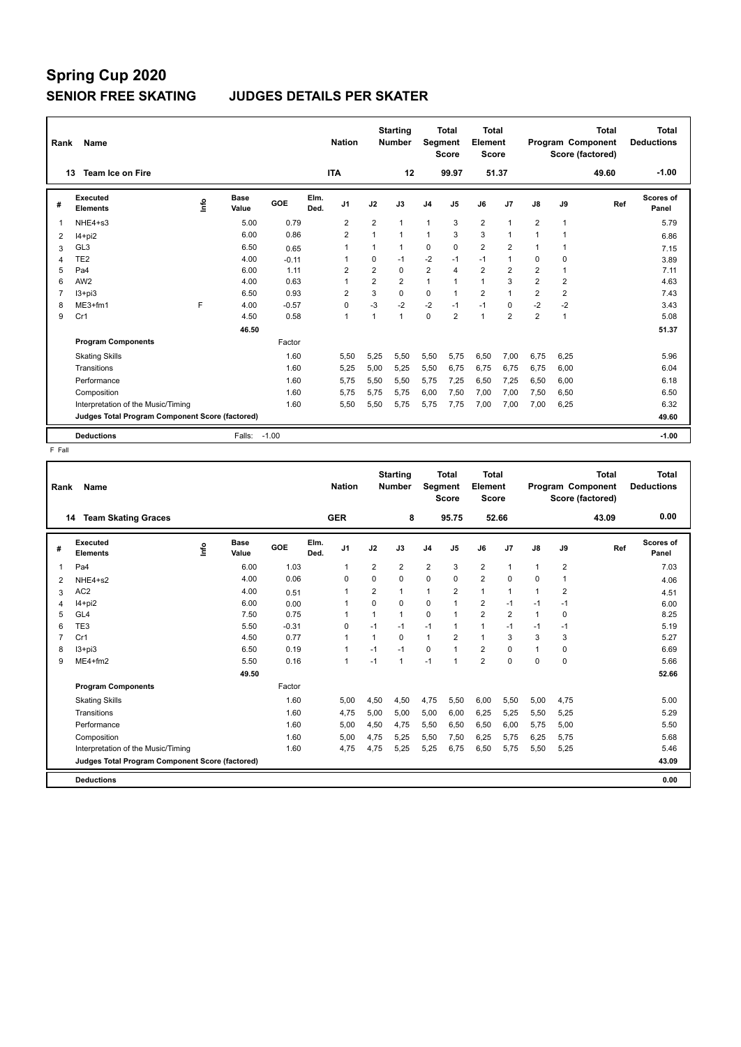### **SENIOR FREE SKATING JUDGES DETAILS PER SKATER**

| Rank | Name                                            |      |               |         |              | <b>Nation</b>  |                | <b>Starting</b><br><b>Number</b> | Segment        | Total<br><b>Score</b> | <b>Total</b><br>Element<br><b>Score</b> |                |                |                | <b>Total</b><br>Program Component<br>Score (factored) | <b>Total</b><br><b>Deductions</b> |
|------|-------------------------------------------------|------|---------------|---------|--------------|----------------|----------------|----------------------------------|----------------|-----------------------|-----------------------------------------|----------------|----------------|----------------|-------------------------------------------------------|-----------------------------------|
| 13   | <b>Team Ice on Fire</b>                         |      |               |         |              | <b>ITA</b>     |                | 12                               |                | 99.97                 | 51.37                                   |                |                |                | 49.60                                                 | $-1.00$                           |
| #    | <b>Executed</b><br><b>Elements</b>              | lnfo | Base<br>Value | GOE     | Elm.<br>Ded. | J <sub>1</sub> | J2             | J3                               | J <sub>4</sub> | J <sub>5</sub>        | J6                                      | J7             | J8             | J9             | Ref                                                   | Scores of<br>Panel                |
| 1    | NHE4+s3                                         |      | 5.00          | 0.79    |              | 2              | $\overline{2}$ | $\mathbf{1}$                     | 1              | 3                     | $\overline{2}$                          | $\overline{1}$ | $\overline{2}$ | 1              |                                                       | 5.79                              |
| 2    | $I4+pi2$                                        |      | 6.00          | 0.86    |              | $\overline{2}$ | $\mathbf{1}$   | $\mathbf{1}$                     | 1              | 3                     | 3                                       | $\overline{1}$ |                | 1              |                                                       | 6.86                              |
| 3    | GL <sub>3</sub>                                 |      | 6.50          | 0.65    |              | 1              | 1              | 1                                | 0              | $\mathbf 0$           | $\overline{2}$                          | $\overline{2}$ |                | 1              |                                                       | 7.15                              |
| 4    | TE <sub>2</sub>                                 |      | 4.00          | $-0.11$ |              |                | 0              | -1                               | $-2$           | $-1$                  | $-1$                                    | $\overline{1}$ | 0              | $\mathbf 0$    |                                                       | 3.89                              |
| 5    | Pa4                                             |      | 6.00          | 1.11    |              | $\overline{2}$ | $\overline{2}$ | $\mathbf 0$                      | $\overline{2}$ | $\overline{4}$        | $\overline{2}$                          | $\overline{2}$ | $\overline{2}$ | 1              |                                                       | 7.11                              |
| 6    | AW <sub>2</sub>                                 |      | 4.00          | 0.63    |              | 1              | $\overline{2}$ | $\overline{2}$                   | 1              |                       | $\mathbf{1}$                            | 3              | $\overline{2}$ | $\overline{2}$ |                                                       | 4.63                              |
| 7    | $13 + pi3$                                      |      | 6.50          | 0.93    |              | 2              | 3              | $\Omega$                         | 0              | $\mathbf{1}$          | $\overline{2}$                          | 1              | $\overline{2}$ | 2              |                                                       | 7.43                              |
| 8    | $ME3+fm1$                                       | E    | 4.00          | $-0.57$ |              | 0              | $-3$           | $-2$                             | $-2$           | $-1$                  | $-1$                                    | $\Omega$       | $-2$           | $-2$           |                                                       | 3.43                              |
| 9    | Cr1                                             |      | 4.50          | 0.58    |              | $\overline{1}$ | 1              | 1                                | 0              | $\overline{2}$        | $\mathbf{1}$                            | $\overline{2}$ | $\overline{2}$ | 1              |                                                       | 5.08                              |
|      |                                                 |      | 46.50         |         |              |                |                |                                  |                |                       |                                         |                |                |                |                                                       | 51.37                             |
|      | <b>Program Components</b>                       |      |               | Factor  |              |                |                |                                  |                |                       |                                         |                |                |                |                                                       |                                   |
|      | <b>Skating Skills</b>                           |      |               | 1.60    |              | 5.50           | 5,25           | 5.50                             | 5,50           | 5.75                  | 6,50                                    | 7,00           | 6.75           | 6,25           |                                                       | 5.96                              |
|      | Transitions                                     |      |               | 1.60    |              | 5,25           | 5,00           | 5,25                             | 5,50           | 6,75                  | 6,75                                    | 6.75           | 6.75           | 6,00           |                                                       | 6.04                              |
|      | Performance                                     |      |               | 1.60    |              | 5.75           | 5,50           | 5.50                             | 5,75           | 7,25                  | 6,50                                    | 7,25           | 6,50           | 6,00           |                                                       | 6.18                              |
|      | Composition                                     |      |               | 1.60    |              | 5,75           | 5,75           | 5,75                             | 6,00           | 7,50                  | 7,00                                    | 7,00           | 7,50           | 6,50           |                                                       | 6.50                              |
|      | Interpretation of the Music/Timing              |      |               | 1.60    |              | 5.50           | 5,50           | 5.75                             | 5,75           | 7,75                  | 7.00                                    | 7,00           | 7.00           | 6,25           |                                                       | 6.32                              |
|      | Judges Total Program Component Score (factored) |      |               |         |              |                |                |                                  |                |                       |                                         |                |                |                |                                                       | 49.60                             |
|      | <b>Deductions</b>                               |      | Falls:        | $-1.00$ |              |                |                |                                  |                |                       |                                         |                |                |                |                                                       | $-1.00$                           |

| Rank           | Name                                            |    |                      |         |              | <b>Nation</b>  |                | <b>Starting</b><br><b>Number</b> | Segment        | <b>Total</b><br><b>Score</b> | <b>Total</b><br>Element<br><b>Score</b> |                |               |                | <b>Total</b><br>Program Component<br>Score (factored) | <b>Total</b><br><b>Deductions</b> |
|----------------|-------------------------------------------------|----|----------------------|---------|--------------|----------------|----------------|----------------------------------|----------------|------------------------------|-----------------------------------------|----------------|---------------|----------------|-------------------------------------------------------|-----------------------------------|
| 14             | <b>Team Skating Graces</b>                      |    |                      |         |              | <b>GER</b>     |                | 8                                |                | 95.75                        |                                         | 52.66          |               |                | 43.09                                                 | 0.00                              |
| #              | Executed<br><b>Elements</b>                     | ۴ô | <b>Base</b><br>Value | GOE     | Elm.<br>Ded. | J <sub>1</sub> | J2             | J3                               | J <sub>4</sub> | J <sub>5</sub>               | J6                                      | J7             | $\mathsf{J}8$ | J9             | Ref                                                   | <b>Scores of</b><br>Panel         |
| 1              | Pa <sub>4</sub>                                 |    | 6.00                 | 1.03    |              | $\mathbf{1}$   | $\overline{2}$ | $\overline{2}$                   | $\overline{2}$ | 3                            | $\overline{2}$                          | $\mathbf{1}$   | $\mathbf{1}$  | $\overline{2}$ |                                                       | 7.03                              |
| 2              | $NHE4+s2$                                       |    | 4.00                 | 0.06    |              | $\Omega$       | $\Omega$       | 0                                | $\mathbf 0$    | $\Omega$                     | $\overline{2}$                          | $\Omega$       | $\Omega$      | 1              |                                                       | 4.06                              |
| 3              | AC <sub>2</sub>                                 |    | 4.00                 | 0.51    |              | 1              | 2              | 1                                | $\mathbf{1}$   | 2                            | $\mathbf{1}$                            | $\overline{1}$ | 1             | 2              |                                                       | 4.51                              |
| 4              | $I4+pi2$                                        |    | 6.00                 | 0.00    |              | 1              | $\Omega$       | 0                                | 0              |                              | $\overline{2}$                          | $-1$           | $-1$          | $-1$           |                                                       | 6.00                              |
| 5              | GL <sub>4</sub>                                 |    | 7.50                 | 0.75    |              | 1              | 1              | 1                                | 0              | 1                            | $\overline{2}$                          | $\overline{2}$ | 1             | 0              |                                                       | 8.25                              |
| 6              | TE3                                             |    | 5.50                 | $-0.31$ |              | 0              | $-1$           | $-1$                             | $-1$           | -1                           | $\mathbf{1}$                            | $-1$           | $-1$          | $-1$           |                                                       | 5.19                              |
| $\overline{7}$ | Cr1                                             |    | 4.50                 | 0.77    |              | $\mathbf{1}$   | $\mathbf{1}$   | 0                                | $\mathbf{1}$   | $\overline{2}$               | $\mathbf{1}$                            | 3              | 3             | 3              |                                                       | 5.27                              |
| 8              | $13 + pi3$                                      |    | 6.50                 | 0.19    |              | $\mathbf{1}$   | $-1$           | $-1$                             | $\mathbf 0$    | $\overline{1}$               | $\overline{2}$                          | $\mathbf 0$    | $\mathbf{1}$  | 0              |                                                       | 6.69                              |
| 9              | $ME4 + fm2$                                     |    | 5.50                 | 0.16    |              | $\mathbf{1}$   | $-1$           | 1                                | $-1$           | $\overline{1}$               | $\overline{2}$                          | $\Omega$       | $\Omega$      | 0              |                                                       | 5.66                              |
|                |                                                 |    | 49.50                |         |              |                |                |                                  |                |                              |                                         |                |               |                |                                                       | 52.66                             |
|                | <b>Program Components</b>                       |    |                      | Factor  |              |                |                |                                  |                |                              |                                         |                |               |                |                                                       |                                   |
|                | <b>Skating Skills</b>                           |    |                      | 1.60    |              | 5,00           | 4,50           | 4,50                             | 4,75           | 5,50                         | 6,00                                    | 5,50           | 5,00          | 4,75           |                                                       | 5.00                              |
|                | Transitions                                     |    |                      | 1.60    |              | 4.75           | 5,00           | 5.00                             | 5,00           | 6.00                         | 6,25                                    | 5,25           | 5,50          | 5,25           |                                                       | 5.29                              |
|                | Performance                                     |    |                      | 1.60    |              | 5,00           | 4,50           | 4,75                             | 5,50           | 6,50                         | 6,50                                    | 6,00           | 5.75          | 5,00           |                                                       | 5.50                              |
|                | Composition                                     |    |                      | 1.60    |              | 5.00           | 4,75           | 5.25                             | 5,50           | 7,50                         | 6,25                                    | 5,75           | 6.25          | 5.75           |                                                       | 5.68                              |
|                | Interpretation of the Music/Timing              |    |                      | 1.60    |              | 4.75           | 4,75           | 5.25                             | 5,25           | 6,75                         | 6.50                                    | 5.75           | 5.50          | 5,25           |                                                       | 5.46                              |
|                | Judges Total Program Component Score (factored) |    |                      |         |              |                |                |                                  |                |                              |                                         |                |               |                |                                                       | 43.09                             |
|                | <b>Deductions</b>                               |    |                      |         |              |                |                |                                  |                |                              |                                         |                |               |                |                                                       | 0.00                              |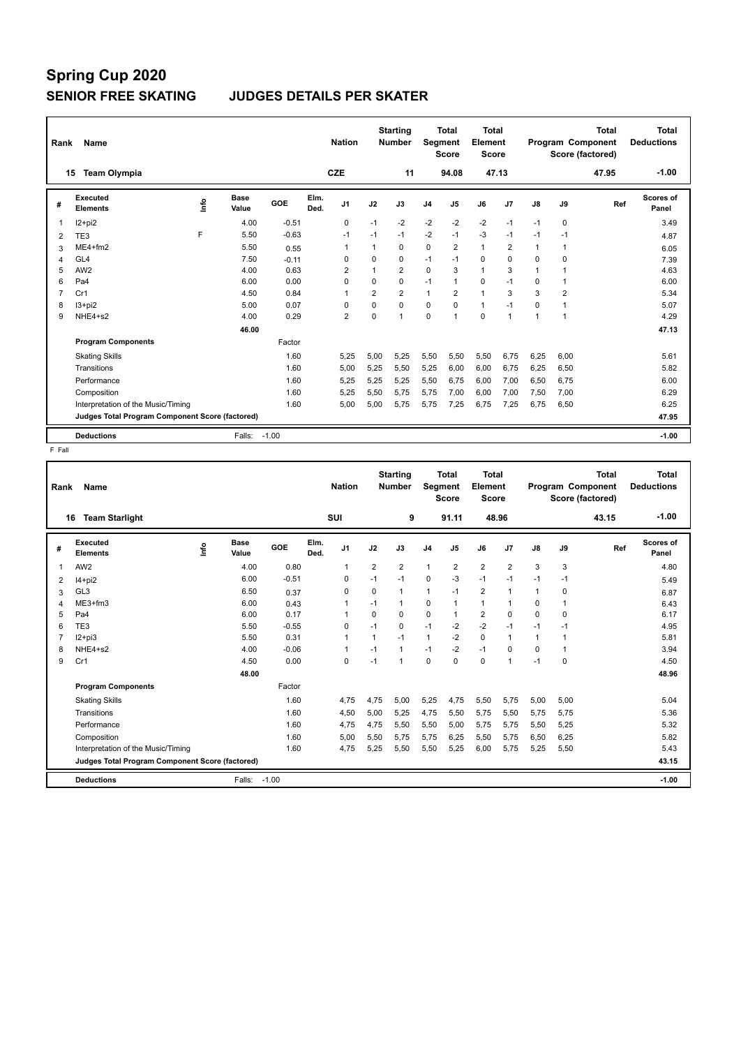### **SENIOR FREE SKATING JUDGES DETAILS PER SKATER**

| Rank | Name                                            |    |                      |         |              | <b>Nation</b>  |                | <b>Starting</b><br><b>Number</b> |                | <b>Total</b><br>Segment<br><b>Score</b> | <b>Total</b><br>Element<br><b>Score</b> |                |               |                | <b>Total</b><br>Program Component<br>Score (factored) | Total<br><b>Deductions</b> |
|------|-------------------------------------------------|----|----------------------|---------|--------------|----------------|----------------|----------------------------------|----------------|-----------------------------------------|-----------------------------------------|----------------|---------------|----------------|-------------------------------------------------------|----------------------------|
| 15   | <b>Team Olympia</b>                             |    |                      |         |              | <b>CZE</b>     |                | 11                               |                | 94.08                                   |                                         | 47.13          |               |                | 47.95                                                 | $-1.00$                    |
| #    | <b>Executed</b><br><b>Elements</b>              | ۴ů | <b>Base</b><br>Value | GOE     | Elm.<br>Ded. | J <sub>1</sub> | J2             | J3                               | J <sub>4</sub> | J5                                      | J6                                      | J7             | $\mathsf{J}8$ | J9             | Ref                                                   | Scores of<br>Panel         |
| 1    | I2+pi2                                          |    | 4.00                 | $-0.51$ |              | 0              | $-1$           | $-2$                             | $-2$           | $-2$                                    | $-2$                                    | $-1$           | $-1$          | $\mathbf 0$    |                                                       | 3.49                       |
| 2    | TE3                                             | F  | 5.50                 | $-0.63$ |              | $-1$           | $-1$           | $-1$                             | $-2$           | $-1$                                    | $-3$                                    | $-1$           | $-1$          | $-1$           |                                                       | 4.87                       |
| 3    | $ME4 + fm2$                                     |    | 5.50                 | 0.55    |              | -1             | $\mathbf{1}$   | 0                                | 0              | $\overline{2}$                          | $\mathbf{1}$                            | $\overline{2}$ |               | 1              |                                                       | 6.05                       |
| 4    | GL <sub>4</sub>                                 |    | 7.50                 | $-0.11$ |              | 0              | 0              | 0                                | $-1$           | $-1$                                    | 0                                       | 0              | 0             | $\mathbf 0$    |                                                       | 7.39                       |
| 5    | AW <sub>2</sub>                                 |    | 4.00                 | 0.63    |              | $\overline{2}$ | 1              | $\overline{2}$                   | $\Omega$       | 3                                       | $\mathbf{1}$                            | 3              | 1             | 1              |                                                       | 4.63                       |
| 6    | Pa4                                             |    | 6.00                 | 0.00    |              | $\Omega$       | $\Omega$       | $\Omega$                         | $-1$           | $\overline{1}$                          | 0                                       | $-1$           | 0             | 1              |                                                       | 6.00                       |
| 7    | Cr1                                             |    | 4.50                 | 0.84    |              | 1              | $\overline{2}$ | $\overline{2}$                   | 1              | $\overline{2}$                          | $\mathbf{1}$                            | 3              | 3             | $\overline{2}$ |                                                       | 5.34                       |
| 8    | $13+pi2$                                        |    | 5.00                 | 0.07    |              | $\Omega$       | $\Omega$       | $\Omega$                         | 0              | $\Omega$                                | $\mathbf{1}$                            | $-1$           | $\Omega$      | 1              |                                                       | 5.07                       |
| 9    | NHE4+s2                                         |    | 4.00                 | 0.29    |              | $\overline{2}$ | $\Omega$       | 1                                | 0              | 1                                       | $\Omega$                                | 1              |               | 1              |                                                       | 4.29                       |
|      |                                                 |    | 46.00                |         |              |                |                |                                  |                |                                         |                                         |                |               |                |                                                       | 47.13                      |
|      | <b>Program Components</b>                       |    |                      | Factor  |              |                |                |                                  |                |                                         |                                         |                |               |                |                                                       |                            |
|      | <b>Skating Skills</b>                           |    |                      | 1.60    |              | 5,25           | 5,00           | 5,25                             | 5,50           | 5,50                                    | 5,50                                    | 6,75           | 6,25          | 6,00           |                                                       | 5.61                       |
|      | Transitions                                     |    |                      | 1.60    |              | 5,00           | 5,25           | 5,50                             | 5,25           | 6,00                                    | 6,00                                    | 6,75           | 6,25          | 6,50           |                                                       | 5.82                       |
|      | Performance                                     |    |                      | 1.60    |              | 5.25           | 5,25           | 5.25                             | 5,50           | 6,75                                    | 6.00                                    | 7,00           | 6,50          | 6,75           |                                                       | 6.00                       |
|      | Composition                                     |    |                      | 1.60    |              | 5,25           | 5,50           | 5,75                             | 5,75           | 7,00                                    | 6,00                                    | 7,00           | 7,50          | 7,00           |                                                       | 6.29                       |
|      | Interpretation of the Music/Timing              |    |                      | 1.60    |              | 5.00           | 5,00           | 5.75                             | 5,75           | 7,25                                    | 6.75                                    | 7,25           | 6.75          | 6,50           |                                                       | 6.25                       |
|      | Judges Total Program Component Score (factored) |    |                      |         |              |                |                |                                  |                |                                         |                                         |                |               |                |                                                       | 47.95                      |
|      | <b>Deductions</b>                               |    | Falls:               | $-1.00$ |              |                |                |                                  |                |                                         |                                         |                |               |                |                                                       | $-1.00$                    |

| Rank | Name                                            |                     |         |              | <b>Nation</b>  |          | <b>Starting</b><br><b>Number</b> | Segment        | <b>Total</b><br><b>Score</b> | Total<br>Element<br><b>Score</b> |                |          |              | <b>Total</b><br><b>Program Component</b><br>Score (factored) | <b>Total</b><br><b>Deductions</b> |
|------|-------------------------------------------------|---------------------|---------|--------------|----------------|----------|----------------------------------|----------------|------------------------------|----------------------------------|----------------|----------|--------------|--------------------------------------------------------------|-----------------------------------|
| 16   | <b>Team Starlight</b>                           |                     |         |              | SUI            |          | 9                                |                | 91.11                        | 48.96                            |                |          |              | 43.15                                                        | $-1.00$                           |
| #    | Executed<br><b>Elements</b>                     | Base<br>۴ô<br>Value | GOE     | Elm.<br>Ded. | J <sub>1</sub> | J2       | J3                               | J <sub>4</sub> | J <sub>5</sub>               | J6                               | J <sub>7</sub> | J8       | J9           | Ref                                                          | <b>Scores of</b><br>Panel         |
| 1    | AW <sub>2</sub>                                 | 4.00                | 0.80    |              | $\mathbf{1}$   | 2        | 2                                | $\mathbf{1}$   | 2                            | $\overline{2}$                   | $\overline{2}$ | 3        | 3            |                                                              | 4.80                              |
| 2    | $I4+pi2$                                        | 6.00                | $-0.51$ |              | 0              | $-1$     | $-1$                             | 0              | $-3$                         | $-1$                             | $-1$           | $-1$     | $-1$         |                                                              | 5.49                              |
| 3    | GL <sub>3</sub>                                 | 6.50                | 0.37    |              | $\Omega$       | $\Omega$ | 1                                | $\mathbf{1}$   | $-1$                         | $\overline{2}$                   | $\overline{1}$ | 1        | $\Omega$     |                                                              | 6.87                              |
| 4    | $ME3+fm3$                                       | 6.00                | 0.43    |              | 1              | $-1$     | 1                                | 0              | -1                           | $\mathbf{1}$                     | $\mathbf 1$    | $\Omega$ | 1            |                                                              | 6.43                              |
| 5    | Pa4                                             | 6.00                | 0.17    |              | $\mathbf{1}$   | $\Omega$ | 0                                | $\Omega$       | $\mathbf{1}$                 | $\overline{2}$                   | $\Omega$       | $\Omega$ | 0            |                                                              | 6.17                              |
| 6    | TE3                                             | 5.50                | $-0.55$ |              | $\Omega$       | $-1$     | $\Omega$                         | $-1$           | $-2$                         | $-2$                             | $-1$           | $-1$     | $-1$         |                                                              | 4.95                              |
| 7    | $12 + pi3$                                      | 5.50                | 0.31    |              | $\mathbf{1}$   | 1        | $-1$                             | $\mathbf{1}$   | $-2$                         | 0                                | $\overline{1}$ | 1        | 1            |                                                              | 5.81                              |
| 8    | NHE4+s2                                         | 4.00                | $-0.06$ |              | 1              | $-1$     | 1                                | $-1$           | $-2$                         | $-1$                             | $\mathbf 0$    | $\Omega$ | $\mathbf{1}$ |                                                              | 3.94                              |
| 9    | Cr1                                             | 4.50                | 0.00    |              | $\Omega$       | $-1$     | 1                                | $\Omega$       | $\Omega$                     | $\Omega$                         | $\overline{1}$ | $-1$     | $\Omega$     |                                                              | 4.50                              |
|      |                                                 | 48.00               |         |              |                |          |                                  |                |                              |                                  |                |          |              |                                                              | 48.96                             |
|      | <b>Program Components</b>                       |                     | Factor  |              |                |          |                                  |                |                              |                                  |                |          |              |                                                              |                                   |
|      | <b>Skating Skills</b>                           |                     | 1.60    |              | 4.75           | 4,75     | 5.00                             | 5,25           | 4,75                         | 5,50                             | 5,75           | 5,00     | 5,00         |                                                              | 5.04                              |
|      | Transitions                                     |                     | 1.60    |              | 4,50           | 5,00     | 5.25                             | 4,75           | 5,50                         | 5,75                             | 5,50           | 5,75     | 5,75         |                                                              | 5.36                              |
|      | Performance                                     |                     | 1.60    |              | 4,75           | 4,75     | 5,50                             | 5,50           | 5,00                         | 5,75                             | 5,75           | 5,50     | 5,25         |                                                              | 5.32                              |
|      | Composition                                     |                     | 1.60    |              | 5,00           | 5,50     | 5,75                             | 5,75           | 6,25                         | 5,50                             | 5,75           | 6,50     | 6,25         |                                                              | 5.82                              |
|      | Interpretation of the Music/Timing              |                     | 1.60    |              | 4,75           | 5,25     | 5,50                             | 5,50           | 5,25                         | 6,00                             | 5,75           | 5,25     | 5,50         |                                                              | 5.43                              |
|      | Judges Total Program Component Score (factored) |                     |         |              |                |          |                                  |                |                              |                                  |                |          |              |                                                              | 43.15                             |
|      | <b>Deductions</b>                               | Falls:              | $-1.00$ |              |                |          |                                  |                |                              |                                  |                |          |              |                                                              | $-1.00$                           |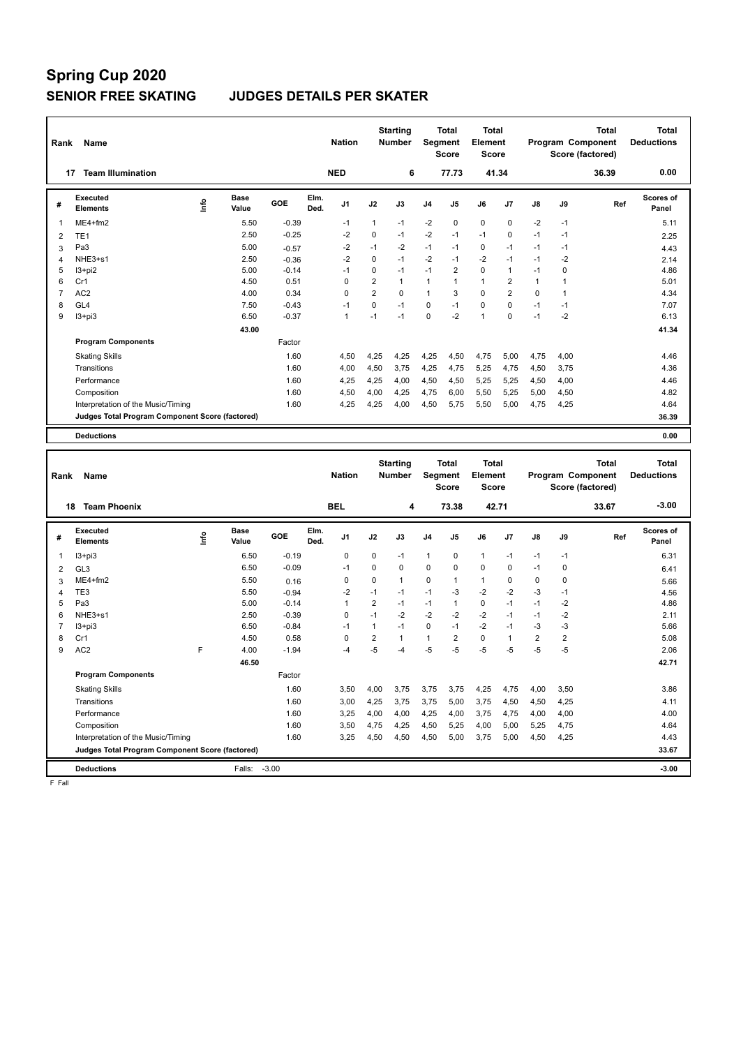### **SENIOR FREE SKATING JUDGES DETAILS PER SKATER**

| Rank           | Name                                            |      |                      |         |              | <b>Nation</b> |                | <b>Starting</b><br><b>Number</b> |              | <b>Total</b><br><b>Segment</b><br><b>Score</b> | <b>Total</b><br>Element<br>Score        |                |               | Score (factored) | <b>Total</b><br>Program Component | <b>Total</b><br><b>Deductions</b> |
|----------------|-------------------------------------------------|------|----------------------|---------|--------------|---------------|----------------|----------------------------------|--------------|------------------------------------------------|-----------------------------------------|----------------|---------------|------------------|-----------------------------------|-----------------------------------|
|                | 17 Team Illumination                            |      |                      |         |              | <b>NED</b>    |                | 6                                |              | 77.73                                          |                                         | 41.34          |               |                  | 36.39                             | 0.00                              |
| #              | Executed<br><b>Elements</b>                     | lnfo | <b>Base</b><br>Value | GOE     | Elm.<br>Ded. | J1            | J2             | J3                               | J4           | J <sub>5</sub>                                 | J6                                      | J7             | $\mathsf{J}8$ | J9               | Ref                               | Scores of<br>Panel                |
| $\mathbf{1}$   | $ME4+fm2$                                       |      | 5.50                 | $-0.39$ |              | $-1$          | $\mathbf{1}$   | $-1$                             | $-2$         | 0                                              | $\mathbf 0$                             | 0              | $-2$          | $-1$             |                                   | 5.11                              |
| $\overline{2}$ | TE <sub>1</sub>                                 |      | 2.50                 | $-0.25$ |              | $-2$          | 0              | $-1$                             | $-2$         | $-1$                                           | $-1$                                    | 0              | $-1$          | $-1$             |                                   | 2.25                              |
| 3              | Pa3                                             |      | 5.00                 | $-0.57$ |              | $-2$          | $-1$           | $-2$                             | $-1$         | $-1$                                           | 0                                       | $-1$           | $-1$          | $-1$             |                                   | 4.43                              |
| $\overline{4}$ | NHE3+s1                                         |      | 2.50                 | $-0.36$ |              | $-2$          | 0              | $-1$                             | $-2$         | $-1$                                           | $-2$                                    | $-1$           | $-1$          | $-2$             |                                   | 2.14                              |
| 5              | $13 + pi2$                                      |      | 5.00                 | $-0.14$ |              | $-1$          | 0              | $-1$                             | $-1$         | $\overline{2}$                                 | $\mathbf 0$                             | $\mathbf{1}$   | $-1$          | $\mathbf 0$      |                                   | 4.86                              |
| 6              | Cr1                                             |      | 4.50                 | 0.51    |              | $\mathbf 0$   | $\overline{2}$ | $\overline{1}$                   | $\mathbf{1}$ | $\mathbf{1}$                                   | $\mathbf{1}$                            | $\overline{2}$ | $\mathbf{1}$  | $\mathbf{1}$     |                                   | 5.01                              |
| $\overline{7}$ | AC <sub>2</sub>                                 |      | 4.00                 | 0.34    |              | $\mathbf 0$   | $\overline{2}$ | $\mathbf 0$                      | $\mathbf{1}$ | 3                                              | $\mathbf 0$                             | $\overline{2}$ | $\mathbf 0$   | $\mathbf{1}$     |                                   | 4.34                              |
| 8              | GL <sub>4</sub>                                 |      | 7.50                 | $-0.43$ |              | $-1$          | $\overline{0}$ | $-1$                             | $\mathbf 0$  | $-1$                                           | $\mathbf 0$                             | $\mathbf 0$    | $-1$          | $-1$             |                                   | 7.07                              |
| 9              | $13 + pi3$                                      |      | 6.50                 | $-0.37$ |              | $\mathbf{1}$  | $-1$           | $-1$                             | 0            | $-2$                                           | $\mathbf{1}$                            | $\Omega$       | $-1$          | -2               |                                   | 6.13                              |
|                |                                                 |      | 43.00                |         |              |               |                |                                  |              |                                                |                                         |                |               |                  |                                   | 41.34                             |
|                | <b>Program Components</b>                       |      |                      | Factor  |              |               |                |                                  |              |                                                |                                         |                |               |                  |                                   |                                   |
|                | <b>Skating Skills</b>                           |      |                      | 1.60    |              | 4,50          | 4,25           | 4,25                             | 4,25         | 4,50                                           | 4,75                                    | 5,00           | 4,75          | 4,00             |                                   | 4.46                              |
|                | Transitions                                     |      |                      | 1.60    |              | 4,00          | 4,50           | 3,75                             | 4,25         | 4,75                                           | 5,25                                    | 4,75           | 4,50          | 3,75             |                                   | 4.36                              |
|                | Performance                                     |      |                      | 1.60    |              | 4,25          | 4,25           | 4,00                             | 4,50         | 4,50                                           | 5,25                                    | 5,25           | 4,50          | 4,00             |                                   | 4.46                              |
|                | Composition                                     |      |                      | 1.60    |              | 4,50          | 4,00           | 4,25                             | 4,75         | 6,00                                           | 5.50                                    | 5,25           | 5.00          | 4,50             |                                   | 4.82                              |
|                | Interpretation of the Music/Timing              |      |                      | 1.60    |              | 4,25          | 4,25           | 4,00                             | 4,50         | 5,75                                           | 5,50                                    | 5,00           | 4,75          | 4,25             |                                   | 4.64                              |
|                | Judges Total Program Component Score (factored) |      |                      |         |              |               |                |                                  |              |                                                |                                         |                |               |                  |                                   | 36.39                             |
|                | <b>Deductions</b>                               |      |                      |         |              |               |                |                                  |              |                                                |                                         |                |               |                  |                                   | 0.00                              |
|                |                                                 |      |                      |         |              |               |                |                                  |              |                                                |                                         |                |               |                  |                                   |                                   |
| Rank           | Name                                            |      |                      |         |              | <b>Nation</b> |                | <b>Starting</b><br><b>Number</b> |              | <b>Total</b><br>Segment<br><b>Score</b>        | <b>Total</b><br>Element<br><b>Score</b> |                |               | Score (factored) | <b>Total</b><br>Program Component | <b>Total</b><br><b>Deductions</b> |
|                | 18 Team Phoenix                                 |      |                      |         |              | <b>BEL</b>    |                | 4                                |              | 73.38                                          |                                         | 42.71          |               |                  | 33.67                             | $-3.00$                           |
| #              | <b>Executed</b><br><b>Elements</b>              | lnfo | <b>Base</b><br>Value | GOE     | Elm.<br>Ded. | J1            | J2             | J3                               | J4           | J <sub>5</sub>                                 | J6                                      | J7             | J8            | J9               | Ref                               | Scores of<br>Panel                |
| $\mathbf{1}$   | $13 + pi3$                                      |      | 6.50                 | $-0.19$ |              | $\mathbf 0$   | 0              | $-1$                             | 1            | 0                                              | $\mathbf{1}$                            | $-1$           | $-1$          | $-1$             |                                   | 6.31                              |
| $\overline{2}$ | GL <sub>3</sub>                                 |      | 6.50                 | $-0.09$ |              | $-1$          | 0              | $\mathbf 0$                      | 0            | 0                                              | $\mathbf 0$                             | 0              | $-1$          | 0                |                                   | 6.41                              |
| 3              | $ME4 + fm2$                                     |      | 5.50                 | 0.16    |              | $\mathbf 0$   | 0              | $\mathbf{1}$                     | 0            | $\mathbf{1}$                                   | $\mathbf{1}$                            | 0              | $\mathbf 0$   | 0                |                                   |                                   |
| $\overline{4}$ | TE3                                             |      | 5.50                 | $-0.94$ |              | $-2$          | $-1$           | $-1$                             | $-1$         | -3                                             | $-2$                                    | $-2$           | -3            | $-1$             |                                   | 5.66<br>4.56                      |
| 5              | Pa3                                             |      | 5.00                 | $-0.14$ |              | $\mathbf{1}$  | $\overline{2}$ | $-1$                             | $-1$         | $\mathbf{1}$                                   | $\mathbf 0$                             | $-1$           | $-1$          | $-2$             |                                   | 4.86                              |
| 6              | NHE3+s1                                         |      | 2.50                 | $-0.39$ |              | $\mathbf 0$   | $-1$           | $-2$                             | $-2$         | $-2$                                           | $-2$                                    | $-1$           | $-1$          | $-2$             |                                   | 2.11                              |
| $\overline{7}$ | $13 + pi3$                                      |      | 6.50                 | $-0.84$ |              | $-1$          | $\mathbf{1}$   | $-1$                             | $\mathbf 0$  | $-1$                                           | $-2$                                    | $-1$           | $-3$          | -3               |                                   | 5.66                              |
| 8              | Cr1                                             |      | 4.50                 | 0.58    |              | $\Omega$      | $\overline{2}$ | $\mathbf{1}$                     | 1            | $\overline{2}$                                 | $\mathbf 0$                             | $\mathbf{1}$   | 2             | $\overline{2}$   |                                   | 5.08                              |
| 9              | AC <sub>2</sub>                                 | F    | 4.00                 | $-1.94$ |              | $-4$          | $-5$           | $-4$                             | $-5$         | $-5$                                           | $-5$                                    | $-5$           | $-5$          | $-5$             |                                   | 2.06                              |
|                |                                                 |      | AG EN                |         |              |               |                |                                  |              |                                                |                                         |                |               |                  |                                   | 42.74                             |

|   | <b>Deductions</b>                               | Falls: | $-3.00$ |      |      |      |      |      |          |      |      |                | $-3.00$ |
|---|-------------------------------------------------|--------|---------|------|------|------|------|------|----------|------|------|----------------|---------|
|   | Judges Total Program Component Score (factored) |        |         |      |      |      |      |      |          |      |      |                | 33.67   |
|   | Interpretation of the Music/Timing              |        | 1.60    | 3,25 | 4,50 | 4,50 | 4,50 | 5,00 | 3,75     | 5,00 | 4,50 | 4,25           | 4.43    |
|   | Composition                                     |        | 1.60    | 3,50 | 4,75 | 4,25 | 4,50 | 5,25 | 4,00     | 5,00 | 5,25 | 4,75           | 4.64    |
|   | Performance                                     |        | 1.60    | 3,25 | 4,00 | 4,00 | 4,25 | 4,00 | 3,75     | 4,75 | 4,00 | 4,00           | 4.00    |
|   | Transitions                                     |        | 1.60    | 3,00 | 4,25 | 3,75 | 3,75 | 5,00 | 3,75     | 4,50 | 4,50 | 4,25           | 4.11    |
|   | <b>Skating Skills</b>                           |        | 1.60    | 3,50 | 4,00 | 3.75 | 3,75 | 3,75 | 4,25     | 4,75 | 4,00 | 3,50           | 3.86    |
|   | <b>Program Components</b>                       |        | Factor  |      |      |      |      |      |          |      |      |                |         |
|   |                                                 | 46.50  |         |      |      |      |      |      |          |      |      |                | 42.71   |
| 9 | AC <sub>2</sub>                                 | 4.00   | $-1.94$ | -4   | -5   | -4   | -5   | -5   | -5       | -5   | -5   | $-5$           | 2.06    |
| 8 | Cr1                                             | 4.50   | 0.58    | 0    | 2    |      |      | 2    | $\Omega$ |      | 2    | $\overline{2}$ | 5.08    |
|   | $13 + pi3$                                      | 6.50   | $-0.84$ | -1   |      | -1   | 0    | -1   | -2       | -1   | -3   | -3             | 5.66    |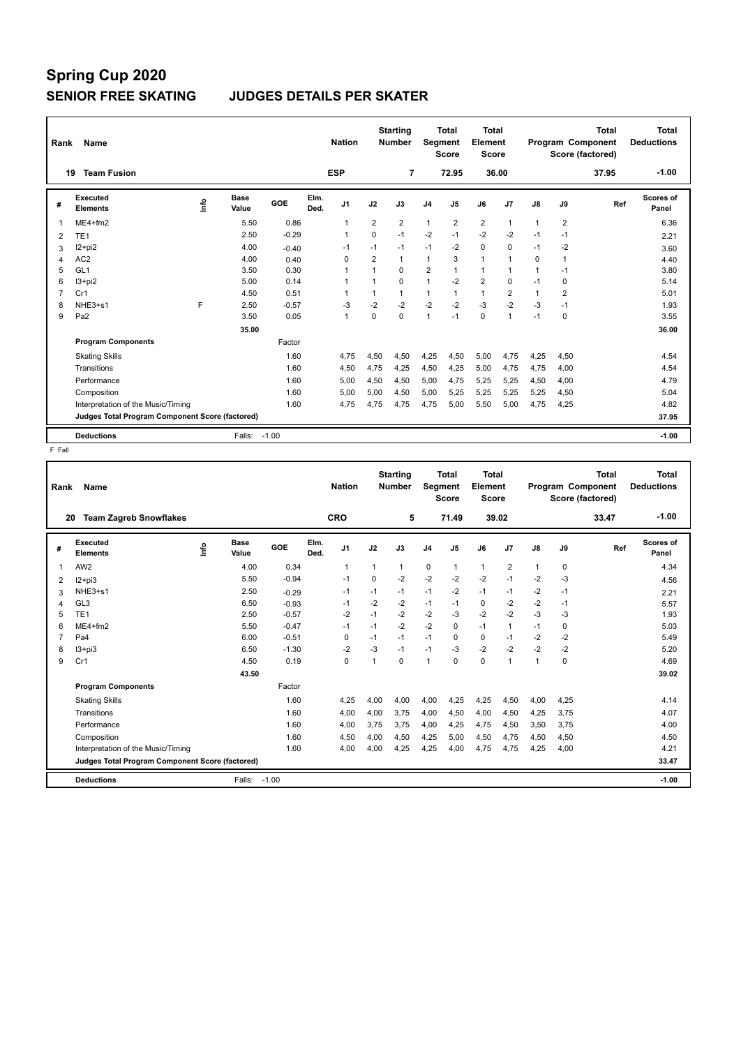#### **SENIOR FREE SKATING JUDGES DETAILS PER SKATER**

| Rank | Name                                            |                            |                 |              | <b>Nation</b>  |                | <b>Starting</b><br><b>Number</b> |                | <b>Total</b><br>Segment<br><b>Score</b> | <b>Total</b><br>Element<br><b>Score</b> |                |      |                | <b>Total</b><br>Program Component<br>Score (factored) | <b>Total</b><br><b>Deductions</b> |
|------|-------------------------------------------------|----------------------------|-----------------|--------------|----------------|----------------|----------------------------------|----------------|-----------------------------------------|-----------------------------------------|----------------|------|----------------|-------------------------------------------------------|-----------------------------------|
| 19   | <b>Team Fusion</b>                              |                            |                 |              | <b>ESP</b>     |                | 7                                |                | 72.95                                   |                                         | 36.00          |      |                | 37.95                                                 | $-1.00$                           |
| #    | Executed<br><b>Elements</b>                     | <b>Base</b><br>۴ů<br>Value | GOE             | Elm.<br>Ded. | J <sub>1</sub> | J2             | J3                               | J <sub>4</sub> | J5                                      | J6                                      | J7             | J8   | J9             | Ref                                                   | Scores of<br>Panel                |
| 1    | $ME4 + fm2$                                     |                            | 5.50<br>0.86    |              | $\overline{1}$ | $\overline{2}$ | $\overline{2}$                   | $\mathbf{1}$   | $\overline{2}$                          | $\overline{2}$                          | $\mathbf{1}$   | 1    | $\overline{2}$ |                                                       | 6.36                              |
| 2    | TE <sub>1</sub>                                 |                            | $-0.29$<br>2.50 |              | 1              | 0              | $-1$                             | $-2$           | $-1$                                    | $-2$                                    | $-2$           | $-1$ | $-1$           |                                                       | 2.21                              |
| 3    | $12+pi2$                                        |                            | 4.00<br>$-0.40$ |              | $-1$           | $-1$           | $-1$                             | $-1$           | $-2$                                    | $\mathbf 0$                             | $\Omega$       | $-1$ | $-2$           |                                                       | 3.60                              |
| 4    | AC <sub>2</sub>                                 |                            | 4.00<br>0.40    |              | $\Omega$       | $\overline{2}$ | $\mathbf{1}$                     | 1              | 3                                       | $\mathbf{1}$                            | 1              | 0    | 1              |                                                       | 4.40                              |
| 5    | GL <sub>1</sub>                                 |                            | 0.30<br>3.50    |              | 1              | 1              | 0                                | 2              | $\overline{1}$                          | $\mathbf{1}$                            | 1              | 1    | $-1$           |                                                       | 3.80                              |
| 6    | $13 + pi2$                                      |                            | 5.00<br>0.14    |              | -1             | $\mathbf{1}$   | $\Omega$                         | $\mathbf{1}$   | $-2$                                    | $\overline{2}$                          | $\Omega$       | $-1$ | $\mathbf 0$    |                                                       | 5.14                              |
| 7    | Cr1                                             |                            | 0.51<br>4.50    |              | 1              |                | $\mathbf{1}$                     | 1              | $\mathbf{1}$                            | $\mathbf{1}$                            | $\overline{2}$ | 1    | 2              |                                                       | 5.01                              |
| 8    | NHE3+s1                                         | F                          | $-0.57$<br>2.50 |              | $-3$           | $-2$           | $-2$                             | $-2$           | $-2$                                    | -3                                      | $-2$           | $-3$ | $-1$           |                                                       | 1.93                              |
| 9    | Pa <sub>2</sub>                                 |                            | 3.50<br>0.05    |              | $\overline{1}$ | $\Omega$       | $\Omega$                         | $\mathbf{1}$   | $-1$                                    | $\Omega$                                | 1              | $-1$ | $\mathbf 0$    |                                                       | 3.55                              |
|      |                                                 |                            | 35.00           |              |                |                |                                  |                |                                         |                                         |                |      |                |                                                       | 36.00                             |
|      | <b>Program Components</b>                       |                            | Factor          |              |                |                |                                  |                |                                         |                                         |                |      |                |                                                       |                                   |
|      | <b>Skating Skills</b>                           |                            | 1.60            |              | 4.75           | 4,50           | 4,50                             | 4,25           | 4,50                                    | 5,00                                    | 4,75           | 4,25 | 4,50           |                                                       | 4.54                              |
|      | Transitions                                     |                            | 1.60            |              | 4,50           | 4,75           | 4,25                             | 4,50           | 4,25                                    | 5,00                                    | 4,75           | 4,75 | 4,00           |                                                       | 4.54                              |
|      | Performance                                     |                            | 1.60            |              | 5,00           | 4,50           | 4,50                             | 5,00           | 4,75                                    | 5,25                                    | 5,25           | 4,50 | 4,00           |                                                       | 4.79                              |
|      | Composition                                     |                            | 1.60            |              | 5,00           | 5,00           | 4,50                             | 5,00           | 5,25                                    | 5,25                                    | 5,25           | 5,25 | 4,50           |                                                       | 5.04                              |
|      | Interpretation of the Music/Timing              |                            | 1.60            |              | 4,75           | 4,75           | 4,75                             | 4,75           | 5,00                                    | 5,50                                    | 5,00           | 4,75 | 4,25           |                                                       | 4.82                              |
|      | Judges Total Program Component Score (factored) |                            |                 |              |                |                |                                  |                |                                         |                                         |                |      |                |                                                       | 37.95                             |
|      | <b>Deductions</b>                               | Falls:                     | $-1.00$         |              |                |                |                                  |                |                                         |                                         |                |      |                |                                                       | $-1.00$                           |

| Rank           | Name                                            |    |               |         |              | <b>Nation</b>  |      | <b>Starting</b><br><b>Number</b> | <b>Segment</b> | <b>Total</b><br><b>Score</b> | <b>Total</b><br>Element<br><b>Score</b> |                |               |      | <b>Total</b><br>Program Component<br>Score (factored) | <b>Total</b><br><b>Deductions</b> |
|----------------|-------------------------------------------------|----|---------------|---------|--------------|----------------|------|----------------------------------|----------------|------------------------------|-----------------------------------------|----------------|---------------|------|-------------------------------------------------------|-----------------------------------|
| 20             | <b>Team Zagreb Snowflakes</b>                   |    |               |         |              | <b>CRO</b>     |      | 5                                |                | 71.49                        | 39.02                                   |                |               |      | 33.47                                                 | $-1.00$                           |
| #              | Executed<br><b>Elements</b>                     | ۴٥ | Base<br>Value | GOE     | Elm.<br>Ded. | J <sub>1</sub> | J2   | J3                               | J <sub>4</sub> | J5                           | J6                                      | J <sub>7</sub> | $\mathsf{J}8$ | J9   | Ref                                                   | Scores of<br>Panel                |
| 1              | AW <sub>2</sub>                                 |    | 4.00          | 0.34    |              | $\mathbf{1}$   | 1    | $\mathbf{1}$                     | $\mathbf 0$    | $\mathbf{1}$                 | $\mathbf{1}$                            | $\overline{2}$ | $\mathbf{1}$  | 0    |                                                       | 4.34                              |
| 2              | $12+pi3$                                        |    | 5.50          | $-0.94$ |              | -1             | 0    | $-2$                             | $-2$           | $-2$                         | $-2$                                    | $-1$           | $-2$          | $-3$ |                                                       | 4.56                              |
| 3              | NHE3+s1                                         |    | 2.50          | $-0.29$ |              | $-1$           | $-1$ | $-1$                             | $-1$           | $-2$                         | $-1$                                    | $-1$           | $-2$          | $-1$ |                                                       | 2.21                              |
| 4              | GL <sub>3</sub>                                 |    | 6.50          | $-0.93$ |              | $-1$           | $-2$ | $-2$                             | $-1$           | $-1$                         | $\mathbf 0$                             | $-2$           | $-2$          | $-1$ |                                                       | 5.57                              |
| 5              | TE <sub>1</sub>                                 |    | 2.50          | $-0.57$ |              | $-2$           | $-1$ | $-2$                             | $-2$           | $-3$                         | $-2$                                    | $-2$           | $-3$          | $-3$ |                                                       | 1.93                              |
| 6              | $ME4 + fm2$                                     |    | 5.50          | $-0.47$ |              | $-1$           | $-1$ | $-2$                             | $-2$           | $\Omega$                     | $-1$                                    | $\mathbf{1}$   | $-1$          | 0    |                                                       | 5.03                              |
| $\overline{7}$ | Pa <sub>4</sub>                                 |    | 6.00          | $-0.51$ |              | $\Omega$       | $-1$ | $-1$                             | $-1$           | $\Omega$                     | 0                                       | $-1$           | $-2$          | $-2$ |                                                       | 5.49                              |
| 8              | $13 + pi3$                                      |    | 6.50          | $-1.30$ |              | $-2$           | $-3$ | $-1$                             | $-1$           | $-3$                         | $-2$                                    | $-2$           | $-2$          | $-2$ |                                                       | 5.20                              |
| 9              | Cr1                                             |    | 4.50          | 0.19    |              | $\Omega$       | 1    | $\Omega$                         | $\mathbf{1}$   | $\Omega$                     | $\Omega$                                | $\overline{1}$ | $\mathbf{1}$  | 0    |                                                       | 4.69                              |
|                |                                                 |    | 43.50         |         |              |                |      |                                  |                |                              |                                         |                |               |      |                                                       | 39.02                             |
|                | <b>Program Components</b>                       |    |               | Factor  |              |                |      |                                  |                |                              |                                         |                |               |      |                                                       |                                   |
|                | <b>Skating Skills</b>                           |    |               | 1.60    |              | 4,25           | 4,00 | 4.00                             | 4,00           | 4,25                         | 4,25                                    | 4,50           | 4.00          | 4,25 |                                                       | 4.14                              |
|                | Transitions                                     |    |               | 1.60    |              | 4,00           | 4,00 | 3.75                             | 4,00           | 4,50                         | 4,00                                    | 4,50           | 4,25          | 3,75 |                                                       | 4.07                              |
|                | Performance                                     |    |               | 1.60    |              | 4.00           | 3.75 | 3.75                             | 4,00           | 4,25                         | 4,75                                    | 4,50           | 3,50          | 3.75 |                                                       | 4.00                              |
|                | Composition                                     |    |               | 1.60    |              | 4,50           | 4,00 | 4,50                             | 4,25           | 5,00                         | 4,50                                    | 4,75           | 4,50          | 4,50 |                                                       | 4.50                              |
|                | Interpretation of the Music/Timing              |    |               | 1.60    |              | 4,00           | 4,00 | 4.25                             | 4,25           | 4,00                         | 4,75                                    | 4,75           | 4,25          | 4,00 |                                                       | 4.21                              |
|                | Judges Total Program Component Score (factored) |    |               |         |              |                |      |                                  |                |                              |                                         |                |               |      |                                                       | 33.47                             |
|                | <b>Deductions</b>                               |    | Falls:        | $-1.00$ |              |                |      |                                  |                |                              |                                         |                |               |      |                                                       | $-1.00$                           |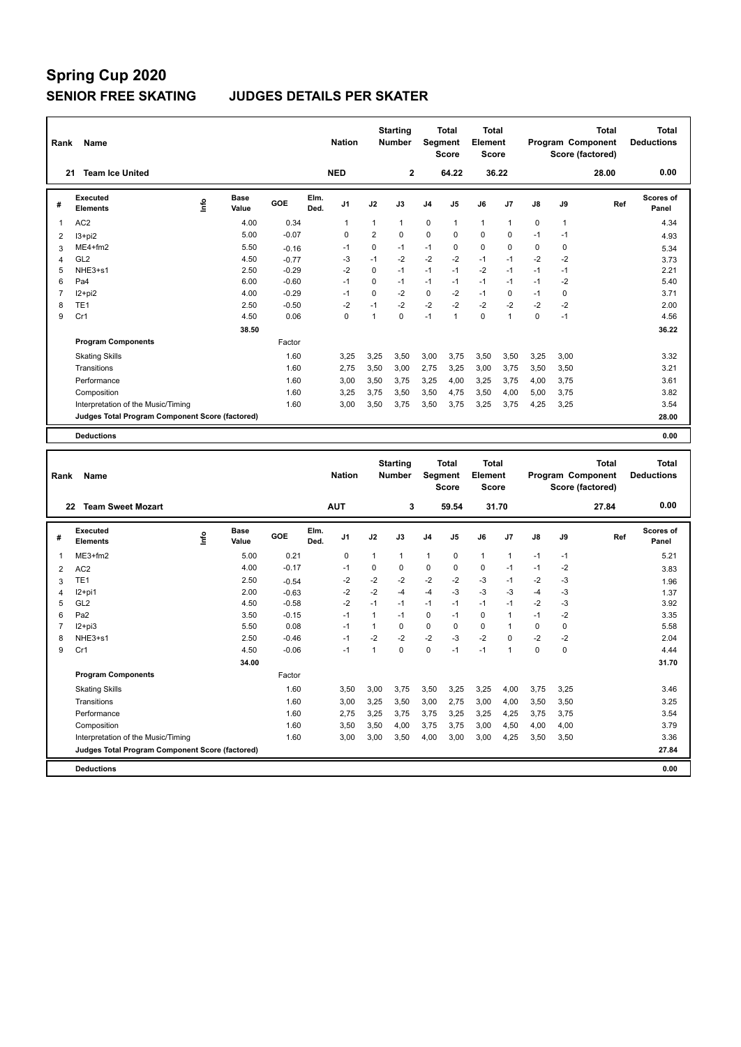#### **SENIOR FREE SKATING JUDGES DETAILS PER SKATER**

| Rank           | Name                                            |                              |         | <b>Nation</b>      |                | <b>Starting</b><br><b>Number</b> |                | <b>Total</b><br>Segment<br><b>Score</b>        | Total<br>Element<br><b>Score</b> |                |          |              | <b>Total</b><br><b>Program Component</b><br>Score (factored) | Total<br><b>Deductions</b> |
|----------------|-------------------------------------------------|------------------------------|---------|--------------------|----------------|----------------------------------|----------------|------------------------------------------------|----------------------------------|----------------|----------|--------------|--------------------------------------------------------------|----------------------------|
| 21             | <b>Team Ice United</b>                          |                              |         | <b>NED</b>         |                | $\mathbf{2}$                     |                | 64.22                                          |                                  | 36.22          |          |              | 28.00                                                        | 0.00                       |
| #              | Executed<br><b>Elements</b>                     | <b>Base</b><br>lnfo<br>Value | GOE     | Elm.<br>J1<br>Ded. | J2             | J3                               | J <sub>4</sub> | J <sub>5</sub>                                 | J6                               | J <sub>7</sub> | J8       | J9           | Ref                                                          | Scores of<br>Panel         |
| $\overline{1}$ | AC <sub>2</sub>                                 | 4.00                         | 0.34    | $\mathbf{1}$       | 1              | $\mathbf{1}$                     | 0              | $\mathbf{1}$                                   | $\mathbf{1}$                     | $\mathbf{1}$   | 0        | $\mathbf{1}$ |                                                              | 4.34                       |
| $\overline{2}$ | $13+pi2$                                        | 5.00                         | $-0.07$ | $\Omega$           | $\overline{2}$ | $\Omega$                         | $\Omega$       | $\Omega$                                       | $\mathbf 0$                      | $\Omega$       | $-1$     | $-1$         |                                                              | 4.93                       |
| 3              | $ME4 + fm2$                                     | 5.50                         | $-0.16$ | $-1$               | $\Omega$       | $-1$                             | $-1$           | $\Omega$                                       | $\Omega$                         | $\Omega$       | $\Omega$ | 0            |                                                              | 5.34                       |
| Δ              | GL <sub>2</sub>                                 | 4.50                         | $-0.77$ | -3                 | $-1$           | $-2$                             | $-2$           | $-2$                                           | $-1$                             | $-1$           | $-2$     | $-2$         |                                                              | 3.73                       |
| 5              | $NHE3+s1$                                       | 2.50                         | $-0.29$ | $-2$               | $\Omega$       | $-1$                             | $-1$           | $-1$                                           | $-2$                             | $-1$           | $-1$     | $-1$         |                                                              | 2.21                       |
| 6              | Pa4                                             | 6.00                         | $-0.60$ | $-1$               | $\Omega$       | $-1$                             | $-1$           | $-1$                                           | $-1$                             | $-1$           | $-1$     | $-2$         |                                                              | 5.40                       |
| 7              | $12+pi2$                                        | 4.00                         | $-0.29$ | $-1$               | $\Omega$       | $-2$                             | 0              | $-2$                                           | $-1$                             | $\Omega$       | $-1$     | $\Omega$     |                                                              | 3.71                       |
| 8              | TE <sub>1</sub>                                 | 2.50                         | $-0.50$ | $-2$               | $-1$           | $-2$                             | $-2$           | $-2$                                           | $-2$                             | $-2$           | $-2$     | $-2$         |                                                              | 2.00                       |
| 9              | Cr1                                             | 4.50                         | 0.06    | $\Omega$           | 1              | $\Omega$                         | $-1$           | $\overline{1}$                                 | $\Omega$                         | $\mathbf{1}$   | $\Omega$ | $-1$         |                                                              | 4.56                       |
|                |                                                 | 38.50                        |         |                    |                |                                  |                |                                                |                                  |                |          |              |                                                              | 36.22                      |
|                | <b>Program Components</b>                       |                              | Factor  |                    |                |                                  |                |                                                |                                  |                |          |              |                                                              |                            |
|                | <b>Skating Skills</b>                           |                              | 1.60    | 3,25               | 3,25           | 3,50                             | 3,00           | 3,75                                           | 3,50                             | 3,50           | 3,25     | 3,00         |                                                              | 3.32                       |
|                | Transitions                                     |                              | 1.60    | 2,75               | 3,50           | 3,00                             | 2,75           | 3,25                                           | 3,00                             | 3,75           | 3,50     | 3,50         |                                                              | 3.21                       |
|                | Performance                                     |                              | 1.60    | 3,00               | 3,50           | 3.75                             | 3,25           | 4,00                                           | 3,25                             | 3,75           | 4,00     | 3,75         |                                                              | 3.61                       |
|                | Composition                                     |                              | 1.60    | 3,25               | 3,75           | 3,50                             | 3,50           | 4,75                                           | 3,50                             | 4,00           | 5.00     | 3,75         |                                                              | 3.82                       |
|                | Interpretation of the Music/Timing              |                              | 1.60    | 3,00               | 3,50           | 3,75                             | 3,50           | 3,75                                           | 3,25                             | 3,75           | 4,25     | 3,25         |                                                              | 3.54                       |
|                | Judges Total Program Component Score (factored) |                              |         |                    |                |                                  |                |                                                |                                  |                |          |              |                                                              | 28.00                      |
|                |                                                 |                              |         |                    |                |                                  |                |                                                |                                  |                |          |              |                                                              |                            |
|                | <b>Deductions</b>                               |                              |         |                    |                |                                  |                |                                                |                                  |                |          |              |                                                              | 0.00                       |
| Rank           | Name                                            |                              |         | <b>Nation</b>      |                | <b>Starting</b><br><b>Number</b> |                | <b>Total</b><br><b>Segment</b><br><b>Score</b> | Total<br>Element<br><b>Score</b> |                |          |              | <b>Total</b><br>Program Component<br>Score (factored)        | Total<br><b>Deductions</b> |
|                |                                                 |                              |         |                    |                |                                  |                |                                                |                                  |                |          |              |                                                              |                            |

|   | <b>Team Sweet Mozart</b><br>22                  |                              |         |              | <b>AUT</b>     |              | 3            |                | 59.54          |              | 31.70 |               |             | 27.84 | 0.00               |
|---|-------------------------------------------------|------------------------------|---------|--------------|----------------|--------------|--------------|----------------|----------------|--------------|-------|---------------|-------------|-------|--------------------|
| # | Executed<br><b>Elements</b>                     | <b>Base</b><br>lnfo<br>Value | GOE     | Elm.<br>Ded. | J <sub>1</sub> | J2           | J3           | J <sub>4</sub> | J <sub>5</sub> | J6           | J7    | $\mathsf{J}8$ | J9          | Ref   | Scores of<br>Panel |
| 1 | $ME3+fm2$                                       | 5.00                         | 0.21    |              | $\Omega$       | $\mathbf{1}$ | $\mathbf{1}$ | $\mathbf{1}$   | $\Omega$       | $\mathbf{1}$ | 1     | $-1$          | $-1$        |       | 5.21               |
| 2 | AC <sub>2</sub>                                 | 4.00                         | $-0.17$ |              | $-1$           | 0            | 0            | $\mathbf 0$    | 0              | $\mathbf 0$  | $-1$  | $-1$          | $-2$        |       | 3.83               |
| 3 | TE <sub>1</sub>                                 | 2.50                         | $-0.54$ |              | $-2$           | $-2$         | $-2$         | $-2$           | $-2$           | $-3$         | $-1$  | $-2$          | -3          |       | 1.96               |
| 4 | $12+pi1$                                        | 2.00                         | $-0.63$ |              | $-2$           | $-2$         | -4           | $-4$           | -3             | $-3$         | $-3$  | $-4$          | -3          |       | 1.37               |
| 5 | GL <sub>2</sub>                                 | 4.50                         | $-0.58$ |              | $-2$           | $-1$         | $-1$         | $-1$           | $-1$           | $-1$         | $-1$  | $-2$          | $-3$        |       | 3.92               |
| 6 | Pa <sub>2</sub>                                 | 3.50                         | $-0.15$ |              | $-1$           | 1            | $-1$         | $\mathbf 0$    | $-1$           | 0            |       | $-1$          | $-2$        |       | 3.35               |
|   | $12+pi3$                                        | 5.50                         | 0.08    |              | $-1$           |              | 0            | $\mathbf 0$    | 0              | 0            |       | $\Omega$      | 0           |       | 5.58               |
| 8 | NHE3+s1                                         | 2.50                         | $-0.46$ |              | $-1$           | $-2$         | $-2$         | $-2$           | $-3$           | $-2$         | 0     | $-2$          | $-2$        |       | 2.04               |
| 9 | Cr1                                             | 4.50                         | $-0.06$ |              | $-1$           |              | $\Omega$     | $\mathbf 0$    | $-1$           | $-1$         |       | $\Omega$      | $\mathbf 0$ |       | 4.44               |
|   |                                                 | 34.00                        |         |              |                |              |              |                |                |              |       |               |             |       | 31.70              |
|   | <b>Program Components</b>                       |                              | Factor  |              |                |              |              |                |                |              |       |               |             |       |                    |
|   | <b>Skating Skills</b>                           |                              | 1.60    |              | 3,50           | 3,00         | 3,75         | 3,50           | 3,25           | 3,25         | 4,00  | 3,75          | 3,25        |       | 3.46               |
|   | Transitions                                     |                              | 1.60    |              | 3,00           | 3,25         | 3,50         | 3,00           | 2,75           | 3,00         | 4,00  | 3,50          | 3,50        |       | 3.25               |
|   | Performance                                     |                              | 1.60    |              | 2,75           | 3,25         | 3,75         | 3,75           | 3,25           | 3,25         | 4,25  | 3.75          | 3,75        |       | 3.54               |
|   | Composition                                     |                              | 1.60    |              | 3,50           | 3,50         | 4,00         | 3,75           | 3,75           | 3,00         | 4,50  | 4,00          | 4,00        |       | 3.79               |
|   | Interpretation of the Music/Timing              |                              | 1.60    |              | 3,00           | 3,00         | 3,50         | 4,00           | 3,00           | 3,00         | 4,25  | 3,50          | 3,50        |       | 3.36               |
|   | Judges Total Program Component Score (factored) |                              |         |              |                |              |              |                |                |              |       |               |             |       | 27.84              |
|   | <b>Deductions</b>                               |                              |         |              |                |              |              |                |                |              |       |               |             |       | 0.00               |